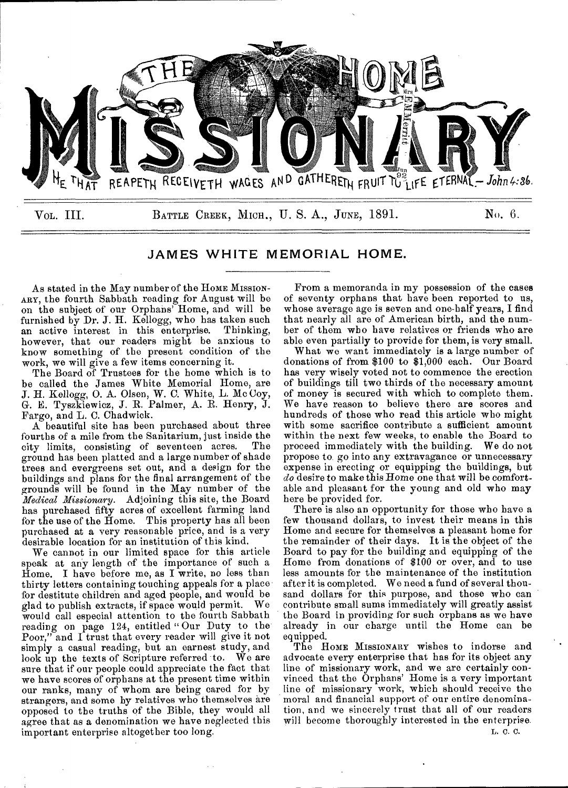

JAMES WHITE MEMORIAL HOME.

As stated in the May number of the HOME MISSION-ARY, the fourth Sabbath reading for August will be on the subject of our Orphans' Home, and will be furnished by Dr. J. H. Kellogg, who has taken such an active interest in this enterprise. Thinking, an active interest in this enterprise. however, that our readers might be anxious to know something of the present condition of the work, we will give a few items concerning it.

The Board of Trustees for the home which is to be called the James White Memorial Home, are *J.* H. Kellogg, 0. A. Olsen, W. C. White, L. Mc Coy, G. E. Tyszkiewicz, J. R. Palmer, A. R. Henry, J. Fargo, and L. C. Chadwick.

A beautiful site has been purchased about three fourths of a mile from the Sanitarium, just inside the city limits, consisting of seventeen acres. The ground has been platted and a large number of shade trees and evergreens set out, and a design for the buildings and plans for the final arrangement of the grounds will be found in the May number of the *Medical Missionary.* Adjoining this site, the Board has purchased fifty acres of excellent farming land for the use of the Home. This property has all been purchased at a very reasonable price, and is a very desirable location for an institution of this kind.

We cannot in our limited space for this article speak at any length of the importance of such a Home. I have before me, as I write, no less than thirty letters containing touching appeals for a place for destitute children and aged people, and would be glad to publish extracts, if space would permit. We would call especial attention to the fourth Sabbath reading on page 124, entitled " Our Duty to the Poor," and I trust that every reader will give it not simply a casual reading, but an earnest study, and look up the texts of Scripture referred to. We are sure that if our people could appreciate the fact that we have scores of orphans at the present time within our ranks, many of whom are being cared for by strangers, and some by relatives who themselves are opposed to the truths of the Bible, they would all agree that as a denomination we have neglected this important enterprise altogether too long.

From a memoranda in my possession of the cases of seventy orphans that have been reported to us, whose average age is seven and one-half years, I find that nearly all are of American birth, and the number of them who have relatives or friends who are able even partially to provide for them, is very small.

What we want immediately is a large number of donations of from \$100 to \$1,000 each. Our Board has very wisely voted not to commence the erection of buildings till two thirds of the necessary amount of money is secured with which to complete them. We have reason to believe there are scores and hundreds of those who read this article who might with some sacrifice contribute a sufficient amount within the next few weeks, to enable the Board to proceed immediately with the building. We do not propose to go into any extravagance or unnecessary expense in erecting or equipping the buildings, but *do* desire to make this Home one that will be comfortable and pleasant for the young and old who may here be provided for.

There is also an opportunity for those who have a few thousand dollars, to invest their means in this Home and secure for themselves a pleasant home for the remainder of their days. It is the object of the Board to pay for the building and equipping of the Home from donations of \$100 or over, and to use less amounts for the maintenance of the institution after it is completed. We need a fund of several thousand dollars for this purpose, and those who can contribute small sums immediately will greatly assist the Board in providing for such orphans as we have already in our charge until the Home can be equipped.

The HOME MISSIONARY wishes to indorse and advocate every enterprise that has for its object any line of missionary work, and we are certainly convinced that the Orphans' Home is a very important line of missionary work, which should receive the moral and financial support of our entire denomination, and we sincerely trust that all of our readers will become thoroughly interested in the enterprise.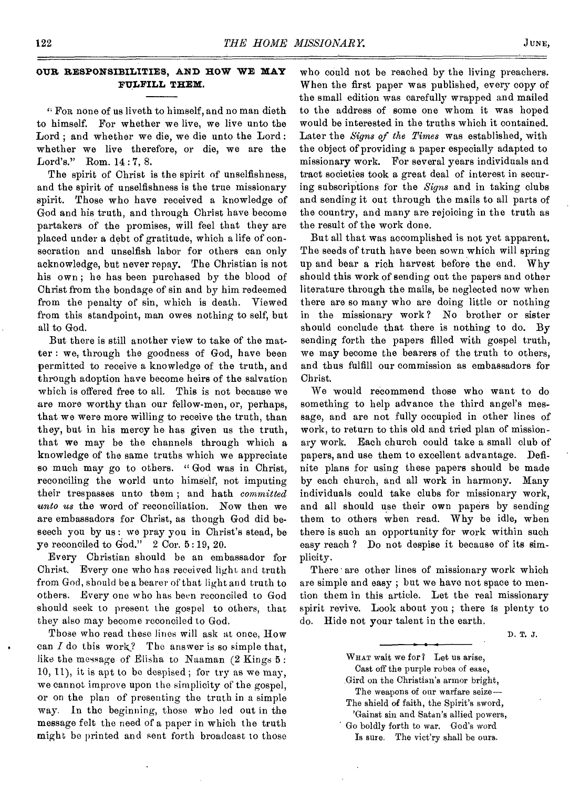## **OUR RESPONSIBILITIES, AND HOW WE MAY FULFILL THEM.**

" For none of us liveth to himself, and no man dieth to himself. For whether we live, we live unto the Lord ; and whether we die, we die unto the Lord : whether we live therefore, or die, we are the Lord's." Rom. 14 : 7, 8.

The spirit of Christ is the spirit of unselfishness, and the spirit of unselfishness is the true missionary spirit. Those who have received a knowledge of God and his truth, and through Christ have become partakers of the promises, will feel that they are placed under a debt of gratitude, which a life of consecration and unselfish labor for others can only acknowledge, but never repay. The Christian is not his own ; he has been purchased by the blood of Christ from the bondage of sin and by him redeemed from the penalty of sin, which is death. Viewed from this standpoint, man owes nothing to self, but all to God.

But there is still another view to take of the matter : we, through the goodness of God, have been permitted to receive a knowledge of the truth, and through adoption have become heirs of the salvation which is offered free to all. This is not because we are more worthy than our fellow-men, or, perhaps, that we were more willing to receive the truth, than they, but in his mercy he has given us the truth, that we may be the channels through which a knowledge of the same truths which we appreciate so much may go to others. " God was in Christ, reconciling the world unto himself, not imputing their trespasses unto them ; and hath *committed unto us* the word of reconciliation. Now then we are embassadora for Christ, as though God did beseech you by us : we pray you in Christ's stead, be ye reconciled to God." 2 Cor. 5 :19, 20.

Every Christian should be an embassador for Christ. Every one who has received light and truth from God, should be a bearer of that light and truth to others. Every one who has been reconciled to God should seek to present the gospel to others, that they also may become reconciled to God.

Those who read these lines will ask at once, How can  $I$  do this work? The answer is so simple that, like the message of Elisha to Naaman (2 Kings 5 : 10, 11), it is apt to be despised ; for try as we may, we cannot improve upon the simplicity of the gospel, or on the plan of presenting the truth in a simple way. In the beginning, those who led out in the message felt the need of a paper in which the truth might be printed and sent forth broadcast to those

who could not be reached by the living preachers. When the first paper was published, every copy of the small edition was carefully wrapped and mailed to the address of some one whom it was hoped would be interested in the truths which it contained. Later the *Signs of the Times* was established, with the object of providing a paper especially adapted to missionary work. For several years individuals and tract societies took a great deal of interest in securing subscriptions for the *Signs* and in taking clubs and sending it out through the mails to all parts of the country, and many are rejoicing in the truth as the result of the work done.

But all that was accomplished is not yet apparent. The seeds of truth have been sown which will spring up and bear a rich harvest before the end. Why should this work of sending out the papers and other literature through the mails, be neglected now when there are so many who are doing little or nothing in the missionary work ? No brother or sister should conclude that there is nothing to do. By sending forth the papers filled with gospel truth, we may become the bearers of the truth to others, and thus fulfill our commission as embassadors for Christ.

We would recommend those who want to do something to help advance the third angel's message, and are not fully occupied in other lines of work, to return to this old and tried plan of missionary work. Each church could take a small club of papers, and use them to excellent advantage. Definite plans for using these papers should be made by each church, and all work in harmony. Many individuals could take clubs for missionary work, and all should use their own papers by sending them to others when read. Why be idle, when there is such an opportunity for work within such easy reach ? Do not despise it because of its simplicity.

There are other lines of missionary work which are simple and easy ; but we have not space to mention them in this article. Let the real missionary spirit revive. Look about you ; there is plenty to do. Hide not your talent in the earth.

D. T. J.

WHAT wait we for? Let us arise, Cast off the purple robes of ease, Gird on the Christian's armor bright, The weapons of our warfare seize— The shield of faith, the Spirit's sword, 'Gainst sin and Satan's allied powers, Go boldly forth to war. God's word Is sure. The vict'ry shall be ours.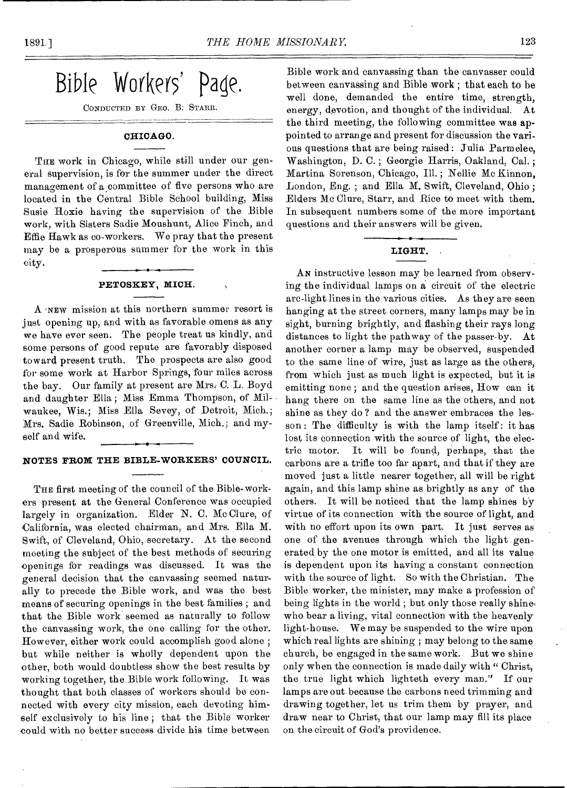Bible Workers' Page.

CONDUCTED BY GEO. B: STARR.

### CHICAGO.

THE work in Chicago, while still under our general supervision, is for the summer under the direct management of a committee of five persons who are located in the Central Bible School building, Miss Susie Hoxie having the supervision of the Bible work, with Sisters Sadie Moushunt, Alice Finch, and Effie Hawk as co-workers. We pray that the present may be a prosperous summer for the work in this city.

### PETOSKEY, MICH.

A *NEW* mission at this northern summer resort is just opening up, and with as favorable omens as any we have ever seen. The people treat us kindly, and some persons of good repute are favorably disposed toward present truth. The prospects are also good for some work at Harbor Springs, four miles across the bay. Our family at present are Mrs: C. L. Boyd and daughter Ella ; Miss Emma Thompson, of Milwaukee, Wis.; Miss Ella Sevey, of Detroit, Mich.; Mrs. Sadie Robinson, of Greenville, Mich.; and myself and wife.

### NOTES FROM THE BIBLE-WORKERS' COUNCIL.

THE first meeting of the council of the Bible-workers present at the General Conference was occupied largely in organization. Elder N. C. Mc Clure, of California, was elected chairman, and Mrs. Ella M. Swift, of Cleveland, Ohio, secretary. At the second meeting the subject of the best methods of securing openings for readings was discussed. It was the general decision that the canvassing seemed naturally to precede the Bible work, and was the best means of securing openings in the best families ; and that the Bible work seemed as naturally to follow the canvassing work, the one calling for the other. However, either work could accomplish good alone ; but while neither is wholly dependent upon the other, both would doubtless show the best results by working together, the Bible work following. It was thought that both classes of workers should be connected with every city mission, each devoting himself exclusively to his line ; that the Bible worker could with no better success divide his time between

Bible work and canvassing than the canvasser could between canvassing and Bible work ; that each to be well done, demanded the entire time, strength, energy, devotion, and thought of the individual. At the third meeting, the following committee was appointed to arrange and present for discussion the various questions that are being raised: Julia Parmelee, Washington, D. C. ; Georgie Harris, Oakland, Cal. ; Martina Sorenson, Chicago, Ill. ; Nellie Mc Kinnon, London, Eng. ; and Ella M. Swift, Cleveland, Ohio ; Elders Mc Clure, Starr, and Rice to meet with them. In subsequent numbers some of the more important questions and their answers will be given.

### LIGHT.

AN instructive lesson may be learned from observing the individual lamps on a circuit of the electric arc-light lines in the various cities. As they are seen hanging at the street corners, many lamps may be in sight, burning brightly, and flashing their rays long distances to light the pathway of the passer-by. At another corner a lamp may be observed, suspended to the same line of wire, just as large as the others, from which just as much light is expected, but it is emitting none ; and the question arises, How can it hang there on the same line as the others, and not shine as they do ? and the answer embraces the lesson : The difficulty is with the lamp itself : it has lost its connection with the source of light, the electric motor. It will be found, perhaps, that the carbons are a trifle too far apart, and that if they are moved just a little nearer together, all will be right again, and this lamp shine as brightly as any of the others. It will be noticed that the lamp shines by virtue of its connection with the source of light, and with no effort upon its own part. It just serves as one of the avenues through which the light generated by the one motor is emitted, and all its value is dependent upon its having a constant connection with the source of light. So with the Christian. The Bible worker, the minister, may make a profession of being lights in the world ; but only those really shine. who bear a living, vital connection with the heavenly light-house. We may be suspended to the wire upon which real lights are shining ; may belong to the same church, be engaged in the same work. But we shine only when the connection is made daily with " Christ, the true light which lighteth every man." If our lamps are out because the carbons need trimming and drawing together, let us trim them by prayer, and draw near to Christ, that our lamp may fill its place on the circuit of God's providence.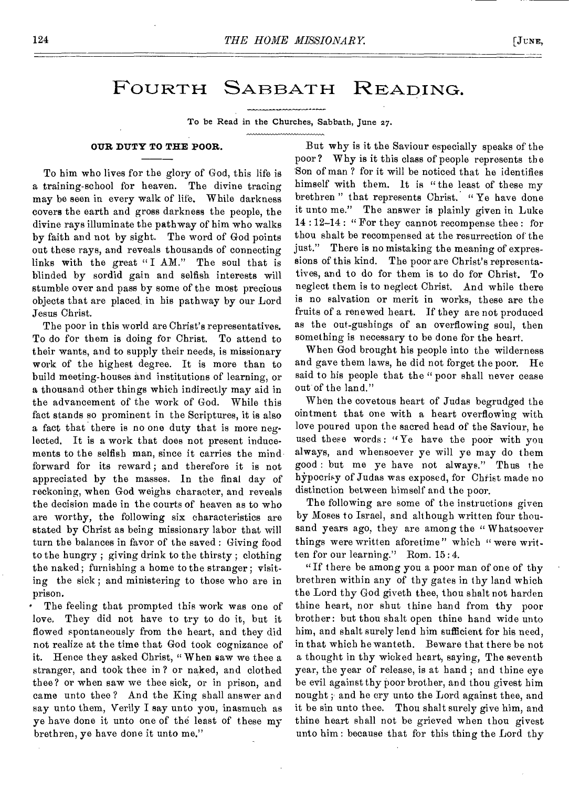## FOURTH SABBATH READING.

To be Read in the Churches, Sabbath, June 27.

### **OUR DUTY TO THE POOR.**

To him who lives for the glory of God, this life is a training-school for heaven. The divine tracing may be seen in every walk of life. While darkness covers the earth and gross darkness the people, the divine rays illuminate the pathway of him who walks by faith and not by sight. The word of God points out these rays, and reveals thousands of connecting links with the great "I AM." The soul that is blinded by sordid gain and selfish interests will stumble over and pass by some of the most precious objects that are placed in his pathway by our Lord Jesus Christ.

The poor in this world are Christ's representatives. To do for them is doing for Christ. To attend to their wants, and to supply their needs, is missionary work of the highest degree. It is more than to build meeting-houses and institutions of learning, or a thousand other things which indirectly may aid in the advancement of the work of God. While this fact stands so prominent in the Scriptures, it is also a fact that there is no one duty that is more neglected. It is a work that does not present inducements to the selfish man, since it carries the mind forward for its reward ; and therefore it is not appreciated by the masses. In the final day of reckoning, when God weighs character, and reveals the decision made in the courts of heaven as to who are worthy, the following six characteristics are stated by Christ as being missionary labor that will turn the balances in favor of the saved : Giving food to the hungry ; giving drink to the thirsty ; clothing the naked; furnishing a home to the stranger ; visiting the sick ; and ministering to those who are in prison.

The feeling that prompted this work was one of love, They did not have to try to do it, but it flowed spontaneously from the heart, and they did not realize at the time that God took cognizance of it. Hence they asked Christ, " When saw we thee a stranger, and took thee in ? or naked, and clothed thee? or when saw we thee sick, or in prison, and came unto thee ? And the King shall answer and say unto them, Verily I say unto you, inasmuch as ye have done it unto one of the least of these my brethren, ye have done it unto me."

But why is it the Saviour especially speaks of the poor? Why is it this class of people represents the Son of man ? for it will be noticed that he identifies himself with them. It is "the least of these my brethren " that represents Christ. " Ye have done it unto me." The answer is plainly given in Luke 14 : 12-14 : " For they cannot recompense thee : for thou shalt be recompensed at the resurrection of the just." There is no mistaking the meaning of expressions of this kind. The poor are Christ's representatives, and to do for them is to do for Christ. To neglect them is to neglect Christ. And while there is no salvation or merit in works, these are the fruits of a renewed heart. If they are not produced as the out-gushings of an overflowing soul, then something is necessary to be done for the heart.

When God brought his people into the wilderness and gave them laws, he did not forget the poor. He said to his people that the "poor shall never cease out of the land."

When the covetous heart of Judas begrudged the ointment that one with a heart overflowing with love poured upon the sacred head of the Saviour, he used these words : "Ye have the poor with you always, and whensoever ye will ye may do them good : but me ye have not always." Thus the hypocrisy of Judas was exposed, for Christ made no distinction between himself and the poor.

The following are some of the instructions given by Moses to Israel, and although written four thousand years ago, they are among the "Whatsoever things were written aforetime" which " were written for our learning." Rom. 15 : 4.

"If there be among you a poor man of one of thy brethren within any of thy gates in thy land which the Lord thy God giveth thee, thou shalt not harden thine heart, nor shut thine hand from thy poor brother: but thou shalt open thine band wide unto him, and shalt surely lend him sufficient for his need, in that which he wanteth. Beware that there be not a thought in thy wicked heart, saying, The seventh year, the year of release, is at hand ; and thine eye be evil against thy poor brother, and thou givest him nought ; and he cry unto the Lord against thee, and it be sin unto thee. Thou shalt surely give him, and thine heart shall not be grieved when thou givest unto him : because that for this thing the Lord thy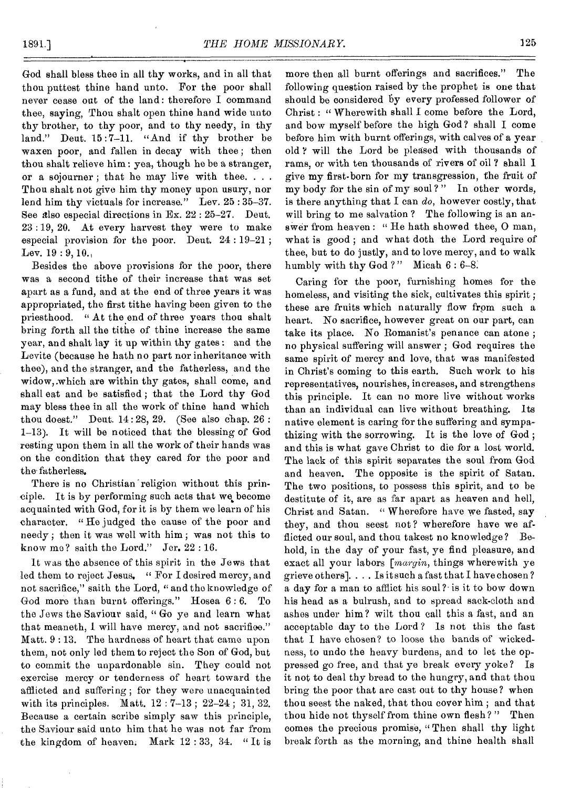God shall bless thee in all thy works, and in all that thou puttest thine hand unto. For the poor shall never cease out of the land: therefore I command thee, saying, Thou shalt open thine hand wide unto thy brother, to thy poor, and to thy needy, in thy land." Deut. 15:7-11. "And if thy brother be waxen poor, and fallen in decay with thee ; then thou shalt relieve him: yea, though he be a stranger, or a sojourner : that he may live with thee.  $\ldots$ Thou shalt not give him thy money upon usury, nor lend him thy victuals for increase." Lev. 25:35-37. See also especial directions in Ex. 22 : 25-27. Deut. 23 : 19, 20. At every harvest they were to make especial provision for the poor. Dent. 24 : 19-21 ; Lev.  $19:9,10,$ 

Besides the above provisions for the poor, there was a second tithe of their increase that was set apart as a fund, and at the end of three years it was appropriated, the first tithe having been given to the priesthood. " At the end of three years thou shalt bring forth all the tithe of thine increase the same year, and shalt lay it up within thy gates : and the Levite (because he hath no part nor inheritance with thee), and the stranger, and the fatherless, and the widow,.which are within thy gates, shall come, and shall eat and be satisfied ; that the Lord thy God may bless thee in all the work of thine hand which thou doest." Dent. 14: 28, 29. (See also chap. 26 : 1-13). It will be noticed that the blessing of God resting upon them in all the work of their hands was on the condition that they cared for the poor and the fatherless.

There is no Christian religion without this principle. It is by performing such acts that we become acquainted with God, for it is by them we learn of his character. "He judged the cause of the poor and needy ; then it was well with him ; was not this to know me? saith the Lord." Jor. 22 : 16.

It was the absence of this spirit in the Jews that led them to reject Jesus. " For I desired mercy, and not sacrifice," saith the Lord, " and the knowledge of God more than burnt offerings." Hosea 6:6. To the Jews the Saviour said, " Go ye and learn what that meaneth, I will have mercy, and not sacrifice." Matt. 9 : 13. The hardness of heart that came upon them, not only led them to reject the Son of God, but to commit the unpardonable sin. They could not exercise mercy or tenderness of heart toward the afflicted and suffering ; for they were unacquainted with its principles. Matt. 12 : 7-13 ; 22-24 ; 31, 32. Because a certain scribe simply saw this principle, the Saviour said unto him that he was not far from the kingdom of heaven. Mark 12 : 33, 34. " It is

more then all burnt offerings and sacrifices." The following question raised by the prophet is one that should be considered by every professed follower of Christ : "Wherewith shall I come before the Lord, and bow myself before the high God ? shall I come before him with burnt offerings, with calves of a year old ? will the Lord be pleased with thousands of rams, or with ten thousands of rivers of oil ? shall I give my first-born for my transgression, the fruit of my body for the sin of my soul?" In other words, is there anything that I can *do,* however costly, that will bring to me salvation? The following is an answer from heaven: "He hath showed thee, O man, what is good ; and what doth the Lord require of thee, but to do justly, and to love mercy, and to walk humbly with thy God?" Micah  $6:6-8$ .

Caring for the poor, furnishing homes for the homeless, and visiting the sick, cultivates this spirit ; these are fruits which naturally flow from such a heart. No sacrifice, however great on our part, can take its place. No Romanist's penance can atone ; no physical suffering will answer ; God requires the same spirit of mercy and love, that was manifested in Christ's coming to this earth. Such work to his representatives, nourishes, increases, and strengthens this principle. It can no more live without works than an individual can live without breathing. Its native element is caring for the suffering and sympathizing with the sorrowing. It is the love of God ; and this is what gave Christ to die for a lost world. The lack of this spirit separates the soul from God and heaven. The opposite is the spirit of Satan. The two positions, to possess this spirit, and to be destitute of it, are as far apart as heaven and hell, Christ and Satan. " Wherefore have we fasted, say they, and thou seest not? wherefore have we afflicted our soul, and thou takest no knowledge? Behold, in the day of your fast, ye find pleasure, and exact all your labors *[margin,* things wherewith ye grieve others]. . . . Is it such a fast that I have chosen ? a day for a man to afflict his soul? is it to bow down his head as a bulrush, and to spread sack-cloth and ashes under him? wilt thou call this a fast, and an acceptable day to the Lord ? Is not this the fast that I have chosen? to loose the bands of wickedness, to undo the heavy burdens, and to let the oppressed go free, and that ye break every yoke? Is it not to deal thy bread to the hungry, and that thou bring the poor that are cast out to thy house? when thou seest the naked, that thou cover him ; and that thou hide not thyself from thine own flesh ? " Then comes the precious promise, " Then shall thy light break forth as the morning, and thine health shall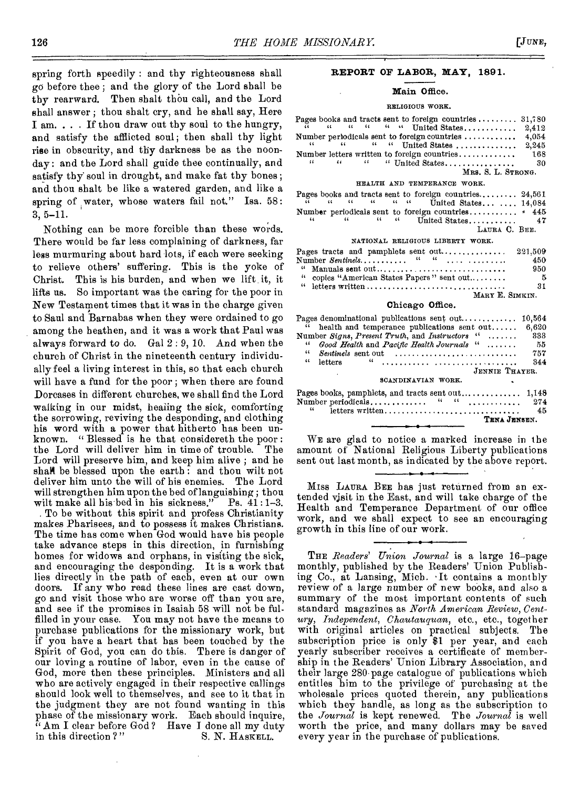spring forth speedily : and thy righteousness shall go before thee ; and the glory of the Lord shall be thy rearward. Then shalt thou call, and the Lord shall answer ; thou shalt cry, and he shall say, Here I am. . . . If thou draw out thy soul to the hungry, and satisfy the afflicted soul; then shall thy light rise in obscurity, and thy darkness be as the noonday : and the Lord shall guide thee continually, and satisfy thy' soul in drought, and make fat thy bones ; and thou shalt be like a watered garden, and like a spring of water, whose waters fail not." Isa. 58: 3, 5-11.

Nothing can be more forcible than these words. There would be far less complaining of darkness, far less murmuring about hard lots, if each were seeking to relieve others' suffering. This is the yoke of Christ. This is his burden, and when we lift it, it lifts us. So important was the caring for the poor in New Testament times that it was in the charge given to Saul and Barnabas when they were ordained to go among the heathen, and it was a work that Paul was always forward to do. Gal 2 : 9, 10. And when the church of Christ in the nineteenth century individually feel a living interest in this, so that each church will have a fund for the poor ; when there are found Dorcases in different churches, we shall find the Lord walking in our midst, healing the sick, comforting the sorrowing, reviving the desponding, and clothing his word with a power that hitherto has been unknown. " Blessed is he that considereth the poor : the Lord will deliver him in time of trouble. The Lord will preserve him, and keep him alive ; and he shall be blessed upon the earth: and thou wilt not deliver him unto the will of his enemies. The Lord will strengthen him upon the bed of languishing; thou<br>wilt make all his bed in his sickness." Ps. 41:1-3. wilt make all his bed in his sickness."

. To be without this spirit and profess Christianity makes Pharisees, and to possess it makes Christians. The time has come when God would have his people take advance steps in this direction, in furnishing homes for widows and orphans, in visiting the sick, and encouraging the desponding. It is a work that lies directly in the path of each, even at our own doors. If any who read these lines are cast down, go and visit those who are worse off than you are, and see if the promises in Isaiah 58 will not be fulfilled in your case. You may not have the means to purchase publications for the missionary work, but if you have a heart that has been touched by the Spirit of God, you can do this. There is danger of our loving a routine of labor, even in the cause of God, more then these principles. Ministers and all who are actively engaged in their respective callings should look well to themselves, and see to it that in the judgment they are not found wanting in this phase of the missionary work. Each should inquire,  $i<sup>i</sup>$  Am I clear before God? Have I done all my duty in this direction?" S. N. HASKELL. in this direction?"

### **REPORT OF LABOR, MAY, 1891.**

### **Main Office.**

### RELIGIOUS WORK.

|  |  | Pages books and tracts sent to foreign countries $31,780$                                                                                                                                                                                                                                                           |                    |      |
|--|--|---------------------------------------------------------------------------------------------------------------------------------------------------------------------------------------------------------------------------------------------------------------------------------------------------------------------|--------------------|------|
|  |  | $\widetilde{u}$ $u$ $u$ $u$ $u$ w United States 2,412                                                                                                                                                                                                                                                               |                    |      |
|  |  |                                                                                                                                                                                                                                                                                                                     |                    |      |
|  |  | $\frac{1}{2}$ $\frac{1}{2}$ $\frac{1}{2}$ $\frac{1}{2}$ $\frac{1}{2}$ $\frac{1}{2}$ $\frac{1}{2}$ $\frac{1}{2}$ $\frac{1}{2}$ $\frac{1}{2}$ $\frac{1}{2}$ $\frac{1}{2}$ $\frac{1}{2}$ $\frac{1}{2}$ $\frac{1}{2}$ $\frac{1}{2}$ $\frac{1}{2}$ $\frac{1}{2}$ $\frac{1}{2}$ $\frac{1}{2}$ $\frac{1}{2}$ $\frac{1}{2}$ |                    |      |
|  |  |                                                                                                                                                                                                                                                                                                                     |                    |      |
|  |  | $\mu$ $\mu$ $\mu$ $\mu$ United States                                                                                                                                                                                                                                                                               |                    | - 30 |
|  |  |                                                                                                                                                                                                                                                                                                                     | MRS. S. L. STRONG. |      |

#### HEALTH AND TEMPERANCE WORK.

|  |  |  |  | Pages books and tracts sent to foreign countries $24,561$                                                                                                                                                                                                                                                 |  |  |
|--|--|--|--|-----------------------------------------------------------------------------------------------------------------------------------------------------------------------------------------------------------------------------------------------------------------------------------------------------------|--|--|
|  |  |  |  | $\tilde{a}$ $\tilde{a}$ $\tilde{a}$ $\tilde{a}$ $\tilde{a}$ $\tilde{a}$ $\tilde{a}$ $\tilde{a}$ $\tilde{a}$ $\tilde{a}$ $\tilde{b}$ $\tilde{c}$ $\tilde{c}$ $\tilde{c}$ $\tilde{c}$ $\tilde{c}$ $\tilde{c}$ $\tilde{c}$ $\tilde{c}$ $\tilde{c}$ $\tilde{c}$ $\tilde{c}$ $\tilde{c}$ $\tilde{c}$ $\tilde{$ |  |  |
|  |  |  |  | Number periodicals sent to foreign countries $*$ 445                                                                                                                                                                                                                                                      |  |  |
|  |  |  |  |                                                                                                                                                                                                                                                                                                           |  |  |
|  |  |  |  | LAURA C. BEE.                                                                                                                                                                                                                                                                                             |  |  |
|  |  |  |  | NATIONAL RELIGIOUS LIBERTY WORK.                                                                                                                                                                                                                                                                          |  |  |

## Pages tracts and pamphlets sent out 221,503 . . . . ....... . <sup>450</sup> Number *Sentinels* if 4(

| л циност <i>юенини</i> о<br>.              | $+1.7$ |
|--------------------------------------------|--------|
|                                            | 950    |
| " copies "American States Papers" sent out | 5.     |
|                                            | 31     |
| MARY E. SIMKIN.                            |        |

### **Chicago Office.**

|            | Pages denominational publications sent out $10,564$                              |      |
|------------|----------------------------------------------------------------------------------|------|
|            | " health and temperance publications sent out $6,620$                            |      |
|            | Number Signs, Present Truth, and Instructors " 333                               |      |
| $\epsilon$ | Good Health and Pacific Health Journals "                                        | - 55 |
| 44         | $\mathit{Sentinels}$ sent out $\ldots \ldots \ldots \ldots \ldots \ldots \ldots$ | 757  |
| $\ddotsc$  | letters                                                                          | 344  |
|            | JENNIE THAYER.                                                                   |      |
|            | SCANDINAVIAN WORK.                                                               |      |
|            |                                                                                  |      |

|          |                 |  |  |  | TENA JENSEN. |      |
|----------|-----------------|--|--|--|--------------|------|
| $\cdots$ | letters written |  |  |  |              | 45   |
|          |                 |  |  |  |              | -274 |
|          |                 |  |  |  |              |      |

WE are glad to notice a marked increase in the amount of National Religious Liberty publications sent out last month, as indicated by the above report.

MISS LAURA BEE has just returned from an extended visit in the East, and will take charge of the Health and Temperance Department of our office work, and we shall expect to see an encouraging growth in this line of our work.

THE *Readers' Union Journal* is a large 16—page monthly, published by the Readers' Union Publishing Co., at Lansing, Mich. 'It contains a monthly review of a large number of new books, and also a summary of the most important contents of such standard magazines as *North American Review, Century, Independent, Chautauquan,* etc., etc., together with original articles on practical subjects. The subscription price is only \$1 per year, and each yearly subscriber receives a certificate of membership in the Readers' Union Library Association, and their large 280 page catalogue of publications which entitles him to the privilege of purchasing at the wholesale prices quoted therein, any publications which they handle, as long as the subscription to the *Journal* is kept renewed. The *Journal* is well worth the price, and many dollars may be saved every year in the purchase of publications.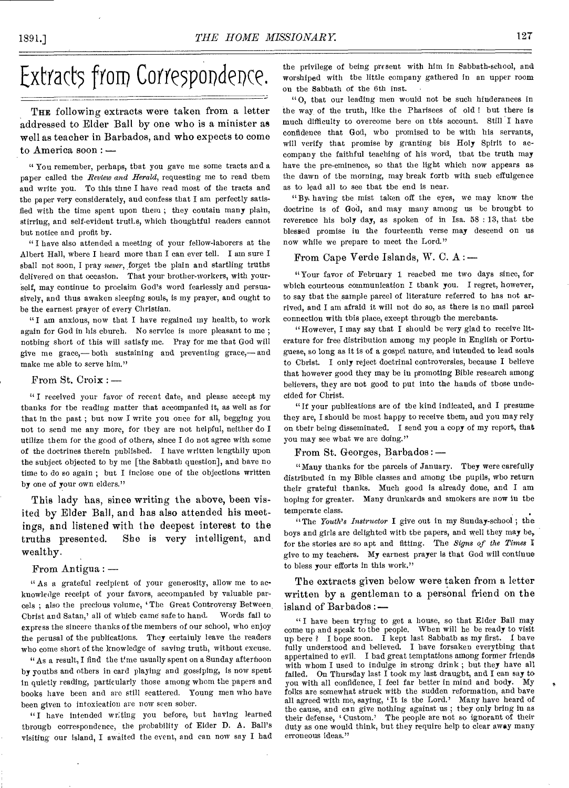# Extracts from Correspondence.

THE following extracts were taken from a letter addressed to Elder Ball by one who is a minister as well as teacher in Barbados, and who expects to come to America soon : —

" You remember, perhaps, that you gave me some tracts and a paper called the *Review and Herald,* requesting me to read them and write you. To this time I have read most of the tracts and the paper very considerately, and confess that I am perfectly satisfied with the time spent upon them ; they contain many plain, stirring, and self-evident truths, which thoughtful readers cannot but notice and profit by.

"I have also attended a meeting of your fellow-laborers at the Albert Hall, where I heard more than I can ever tell. I am sure I shall not soon, I pray *never,* forget the plain and startling truths delivered on that occasion. That your brother-workers, with yourself, may continue to proclaim God's word fearlessly and persuasively, and thus awaken sleeping souls, is my prayer, and ought to be the earnest prayer of every Christian.

"I am anxious, now that I have regained my health, to work again for God in his cburch. No service is more pleasant to me; nothing short of this will satisfy me. Pray for me that God will give me grace,— both sustaining and preventing grace,— and make me able to serve him."

### From St. Croix : —

"I received your favor of recent date, and please accept my thanks for the reading matter that accompanied it, as well as for that in the past ; but now I write you once for all, begging you not to send me any more, for they are not helpful, neither do I utilize them for the good of others, since I do not agree with some of the doctrines therein published. I have written lengthily upon the subject objected to by me [the Sabbath question], and have no time to do so again ; but I inclose one of the objections written by one of your own elders."

This lady has, since writing the above, been visited by Elder Ball, and has also attended his meetings, and listened with the deepest interest to the truths presented. She is very intelligent, and wealthy.

#### • From Antigua : —

" As a grateful recipient of your generosity, allow me to acknowledge receipt of your favors, accompanied by valuable parcels ; also the precious volume, The Great Controversy Between, Christ and Satan,' all of which came safe to hand. Words fail to express the sincere thanks of the members of our school, who enjoy the perusal of the publications. They certainly leave the readers who come short of the knowledge of saving truth, without excuse.

"As a result, I find the t'me usually spent on a Sunday afternoon by youths and others in card playing and gossiping, is now spent in quietly reading, particularly those among whom the papers and books have been and arc still scattered. Young men who have been given to intoxication are now seen sober.

"I have intended wr;ting you before, but having learned through correspondence, the probability of Elder D. A. Ball's visiting our island, I awaited the event, and can now say I had the privilege of being present with him in Sabbath-school, and worshiped with the little company gathered in an upper room on the Sabbath of the 6th inst.

"0, that our leading men would not be such hinderances in the way of the truth, like the Pharisees of old ! but there is much difficulty to overcome here on this account. Still I have confidence that God, who promised to be with his servants, will verify that promise by granting his Holy Spirit to accompany the faithful teaching of his word, that the truth may have the pre-eminence, so that the light which now appears as the dawn of the morning, may break forth with such effulgence as to lead all to see that the end is near.

"By having the mist taken off the eyes, we may know the doctrine is of God, and may many among us be brought to reverence his holy day, as spoken of in Isa. 58 : 13, that the blessed promise in the fourteenth verse may descend on us now while we prepare to meet the Lord."

## From Cape Verde Islands, W. C. A : —

"Your favor of February 1 reached me two days since, for which courteous communication I thank you. I regret, however, to say that the sample parcel of literature referred to has not arrived, and I am afraid it will not do so, as there is no mail parcel connection with this place, except through the merchants.

"However, I may say that I should be very glad to receive literature for free distribution among my people in English or Portuguese, so long as it is of a gospel nature, and intended to lead souls to Christ. I only reject doctrinal controversies, because I believe that however good they may be in promoting Bible research among believers, they are not good to put into the hands of those undecided for Christ.

"If your publications are of the kind indicated, and I presume they are, I should be most happy to receive them, and you may rely on their being disseminated. I send you a copy of my report, that you may see what we are doing."

From St. Georges, Barbados : —

"Many thanks for the parcels of January. They were carefully distributed in my Bible classes and among the pupils, who return their grateful thanks. Much good is already done, and I am hoping for greater. Many drunkards and smokers are now in the temperate class.

"The *Youth's Instructor I* give out in my Sunday-school ; the boys and girls are delighted with the papers, and well they may be, for the stories are so apt and fitting. The *Signs of' the Times* I give to my teachers. My earnest prayer is that God will continue to bless your efforts in this work."

The extracts given below were taken from a letter written by a gentleman to a personal friend on the island of Barbados :—

" I have been trying to get a house, so that Elder Ball may come up and speak to the people. When will he be ready to visit up here ? I hope soon. I kept last Sabbath as my first. I have fully understood and believed. I have forsaken everything that appertained to evil. I had great temptations among former friends with whom I used to indulge in strong drink ; but they have all failed. On Thursday last I took my last draught, and I can say to you with all confidence, I feel far better in mind and body. My folks are somewhat struck with the sudden reformation, and have all agreed with me, saying, 'It is the Lord.' Many have heard of the cause, and can give nothing against us ; they only bring in as their defense, Custom.' The people are not so ignorant of their duty as one would think, but they require help to clear away many erroneous ideas."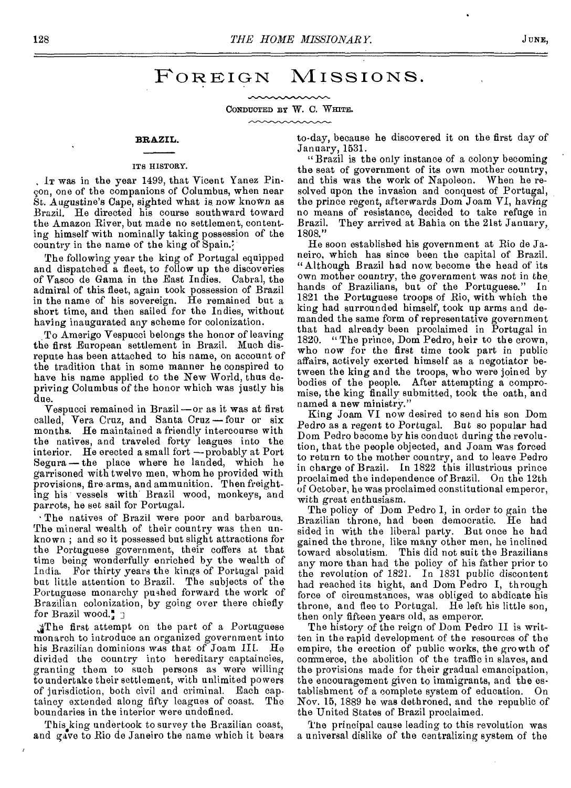## FOREIGN MISSIONS.

CONDUCTED BY W. C. WHITE. mmmmmm

### **BRAZIL.**

### ITS HISTORY.

, IT was in the year 1499, that Vicent Yanez Pinson, one of the companions of Columbus, when near St. Augustine's Cape, sighted what is now known as Brazil. He directed his course southward toward the Amazon River, but made no settlement, contenting himself with nominally taking possession of the country in the name of the king of Spain.

The following year the king of Portugal equipped and dispatched a fleet, to follow up the discoveries of Vasco de Gama in the East Indies. Cabral, the admiral of this fleet, again took possession of Brazil in the name of his sovereign. He remained but a short time, and then sailed for the Indies, without having inaugurated any scheme for colonization.

To Amerigo Vespucci belongs the honor of leaving the first European settlement in Brazil. Much disrepute has been attached to his name, on account of the tradition that in some manner he conspired to have his name applied to the New World, thus depriving Columbus of the honor which was justly his due.

Vespucci remained in Brazil —or as it was at first called, Vera Cruz, and Santa Cruz-four or six months. He maintained a friendly intercourse with the natives, and traveled forty leagues into the interior. He erected a small fort —probably at Port Segura — the place where he landed, which he garrisoned with twelve men, whom he provided with provisions, firearms, and ammunition. Then freighting his vessels with Brazil wood, monkeys, and parrots, he set sail for Portugal.

• The natives of Brazil were poor and barbarous. The mineral wealth of their country was then unknown ; and so it possessed but slight attractions for the Portuguese government, their coffers at that time being wonderfully enriched by the wealth of India. For thirty years the kings of Portugal paid but little attention to Brazil. The subjects of the Portuguese monarchy pushed forward the work of Brazilian colonization, by going over there chiefly for Brazil wood. $\frac{a}{s}$  ]

The first attempt on the part of a Portuguese monarch to introduce an organized government into his Brazilian dominions was that of Joam III. He divided the country into hereditary captaincies, granting them to such persons as were willing to undertake their settlement, with unlimited powers of jurisdiction, both civil and criminal. Each captaincy extended along fifty leagues of coast. The boundaries in the interior were undefined.

This king undertook to survey the Brazilian coast, and gave to Rio de Janeiro the name which it bears

y

to-day, because he discovered it on the first day of January, 1531.

"Brazil is the only instance of a colony becoming the seat of government of its own mother country, and this was the work of Napoleon. When he resolved upon the invasion and conquest of Portugal, the prince *regent,* afterwards Dom Joam VI, having no means of resistance, decided to take refuge in Brazil. They arrived at Bahia on the 21st January, 1808."

He soon established his government at Rio de Janeiro, which has since been the capital of Brazil. "Although Brazil had now become the head of its own mother country, the government was not in the\_ hands of Brazilians, but of the Portuguese." In 1821 the Portuguese troops of Rio, with which the king had surrounded himself, took up arms and demanded the same form of representative government that had already been proclaimed in Portugal in 1820. "The prince, Dom Pedro, heir to the crown, who now for the first time took part in public affairs, actively exerted himself as a negotiator between the king and the troops, who were joined by bodies of the people. After attempting a compromise, the king finally submitted, took the oath, and named a new ministry."

King Joam VI now desired to send his son Dorn Pedro as a *regent* to Portugal. But so popular had Dom Pedro become by his conduct during the revolution, that the people objected, and Joam was forced to return to the mother country, and to leave Pedro in charge of Brazil. In 1822 this illustrious prince proclaimed the independence of Brazil. On the 12th of October, he was proclaimed constitutional emperor, with great enthusiasm.

The policy of Dom Pedro I, in order to gain the Brazilian throne, had been democratic. He had sided in with the liberal party. But once he had gained the throne, like many other men, he inclined toward absolutism. This did not suit the Brazilians any more than had the policy of his father prior to the revolution of 1821. In 1831 public discontent had reached its hight, and Dom Pedro I, through force of circumstances, was obliged to abdicate his throne, and flee to Portugal. He left his little son, then only fifteen years old, as emperor.

The history of the reign of Dom Pedro II is written in the rapid development of the resources of the empire, the erection of public works, the growth of commerce, the abolition of the traffic in slaves, and the provisions made for their gradual emancipation, the encouragement given to immigrants, and the establishment of a complete system of education. Nov. 15, 1889 he was dethroned, and the republic of the United States of Brazil proclaimed.

The principal cause leading to this revolution was a universal dislike of the centralizing system of the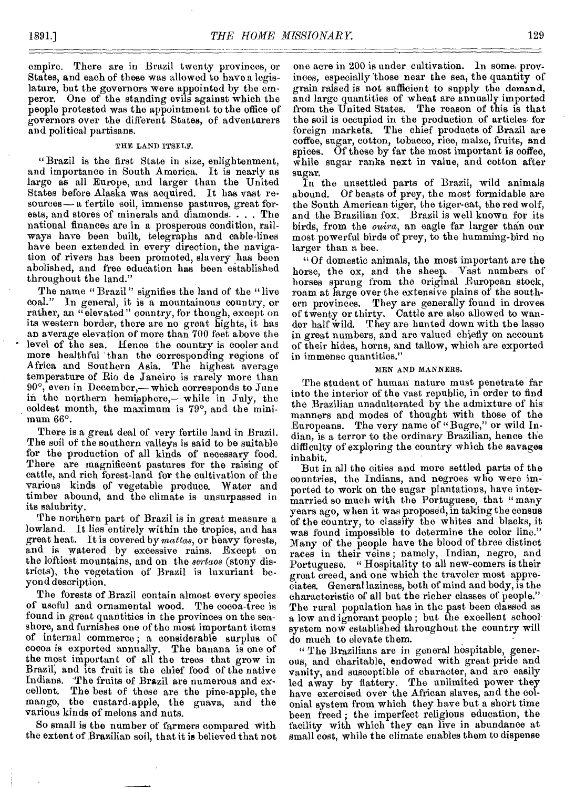empire. There are in Brazil twenty provinces, or States, and each of these was allowed to have a legislature, but the governors were appointed by the emperor. One of the standing evils against which the people protested was the appointment to the office of governors over the different States, of adventurers and political partisans.

### THE LAND ITSELF.

"Brazil is the first State in size, enlightenment, and importance in South America. It is nearly as large as all Europe, and larger than the United States before Alaska was acquired. It has vast resources— a fertile soil, immense pastures, great forests, and stores of minerals and diamonds. . . . The national finances are in a prosperous condition, railways have been built, telegraphs and cable-lines have been extended in every direction, the navigation of rivers has been promoted, slavery has been abolished, and free education has been established throughout the land."

The name " Brazil" signifies the land of the "live coal." In general, it is a mountainous country or In general, it is a mountainous country, or rather, an "elevated" country, for though, except on its western border, there are no great hights, it has an average elevation of more than 700 feet above the level of the sea. Hence the country is cooler and more healthful than the corresponding regions of Africa and Southern Asia. The highest average temperature of Rio de Janeiro is rarely more than 90°, even in December,— which corresponds to June in the nerthern hemisphere,—while in *July,* the coldest month, the maximum is 79°, and the minimum 66°.

There is a great deal of very fertile land in Brazil. The soil of the southern valleys is said to be suitable for the production of all kinds of necessary food. There are magnificent pastures for the raising of cattle, and rich forest-land for the cultivation of the various kinds of vegetable produce. Water and timber abound, and the climate is unsurpassed in its salubrity.

The northern part of Brazil is in great measure a lowland. It lies entirely within the tropics, and has great heat. It is covered by *mattas,* or heavy forests, and is watered by excessive rains. Except on the loftiest mountains, and on the *sertaos* (stony districts), the vegetation of Brazil is luxuriant beyond description.

The forests of Brazil contain almost every species of useful and ornamental wood. The cocoa-tree is found in great quantities in the provinces on the seashore, and furnishes one of the most important items of internal commerce ; a considerable surplus of cocoa is exported annually. The banana is one of the most important of all the trees that grow in Brazil, and its fruit is the chief food of the native Indians. 'The fruits of Brazil are numerous and excellent. The best of these are the pine-apple, the mango, the custard-apple, the guava, and the various kinds of melons and nuts.

So small is the number of farmers compared with the extent of Brazilian soil, that it is believed that not

one acre in 200 is under cultivation. In some provinces, especially' hose near the sea, the quantity of grain raised is not sufficient to supply the demand, and large quantities of wheat are annually imported from the United States. The reason of this is that the soil is occupied in the production of articles for foreign markets. The chief products of Brazil are coffee, sugar, cotton, tobacco, rice, maize, fruits, and spices. Of these by far the most important is coffee, while sugar ranks next in value, and cotton after sugar.

In the unsettled parts of Brazil, wild animals abound. Of beasts of prey, the most formidable are the South American tiger, the tiger-cat, the red wolf, and the Brazilian fox. Brazil is well known for its birds, from the *ouira,* an eagle far larger than our most powerful birds of prey, to the humming-bird no larger than a bee.

"Of domestic animals, the most important are the horse, the ox, and the sheep. Vast numbers of horses sprung from the original European stock, roam at large over the extensive plains of the southern provinces. They are generally found in droves of twenty or thirty. Cattle are also allowed to wander half wild. They are hunted down with the lasso in great numbers, and are valued chiefly on account of their hides, horns, and tallow, which are exported in immense quantities."

### MEN AND MANNERS.

The student of human nature must penetrate far into the interior of the vast republic, in order to find the Brazilian unadulterated by the admixture of his' manners and modes of thought with those of the Europeans. The very name of "Bugre," or wild Indian, is a terror to the ordinary Brazilian, hence the difficulty of exploring the country which the savages inhabit.

But in all the cities and more settled parts of the countries, the Indians, and negroes who were imported to work on the sugar plantations, have intermarried so much with the Portuguese, that "many years ago, when it was proposed, in taking the census of the country, to classify the whites and blacks, it was found impossible to determine the color line." Many of the people have the blood of three distinct races in their veins ; namely, Indian, negro, and Portuguese. "Hospitality to all new-comers is their great creed, and one which the traveler most appreciates. General laziness, both of mind and body, is the characteristic of all but the richer classes of people." The rural population has in the past been classed as a low and ignorant people ; but the excellent school system now established throughout the country will do much to elevate them.

" The Brazilians are in general hospitable, generous, and charitable, endowed with great pride and vanity, and susceptible of character, and are easily led away by flattery. The unlimited power they have exercised over the African slaves, and the colonial system from which they have but a short time been freed ; the imperfect religious education, the facility with which they can live in abundance at small cost, while the climate enables them to dispense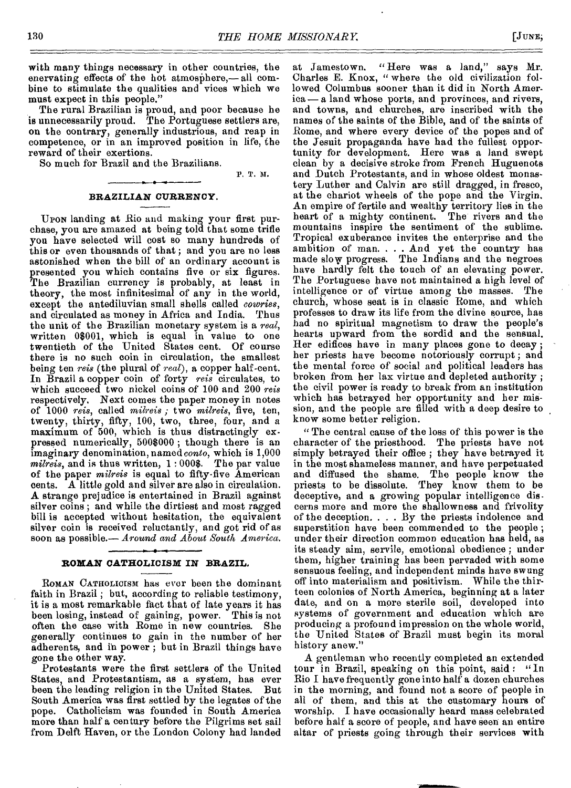with many things necessary in other countries, the enervating effects of the hot atmosphere,— all combine to stimulate the qualities and vices which we must expect in this people."

The rural Brazilian is proud, and poor because he is unnecessarily proud. The Portuguese settlers are, on the contrary, generally industrious, and reap in competence, or in an improved position in life, the reward of their exertions.

So much for Brazil and the Brazilians.

P. T. N.

### **BRAZILIAN** *CURREN***CY.**

UPON landing at Rio and making your first purchase, you are amazed at being told that some trifle you have selected will cost so many hundreds of this or even thousands of that ; and you are no less astonished when the bill of an ordinary account is presented you which contains five or six figures. The Brazilian currency is probably, at least in theory, the most infinitesimal of any in the world, except the antediluvian small shells called *cowries,*  and circulated as money in Africa and India. Thus the unit of the Brazilian monetary system is a *real,*  written 08001, which is equal in value to one twentieth of the United States cent. Of course there is no such coin in circulation, the smallest being ten *reis* (the plural of *real),* a copper half-cent. In Brazil a copper coin of forty *reis* circulates, to which succeed two nickel coins of 100 and 200 *reis*  respectively. Next comes the paper money in notes of 1000 *reis,* called *milreis ;* two *milreis,* five, ten, twenty, thirty, fifty, 100, two, three, four, and a maximum of 500, which is thus distractingly expressed numerically, 500\$000 ; though there is an imaginary denomination, named *conto,* which is 1,000 *milreis,* and is thus written, 1 : 000\$. The par value of the paper *milreis* is equal to fifty-five American cents. A little gold and silver are also in circulation. A strange prejudice is entertained in Brazil against silver coins ; and while the dirtiest and most ragged bill is accepted without hesitation, the equivalent silver coin is received reluctantly, and got rid of as soon as possible.— *Around and About South America.* 

### **ROMAN CATHOLICISM IN BRAZIL.**

ROMAN CATHOLICISM has ever been the dominant faith in Brazil; but, according to reliable testimony, it is a most remarkable fact that of late years it has been losing, instead of gaining, power. This is not often the case with Rome in new countries. She generally continues to gain in the number of her adherents, and in power ; but in Brazil things have gone the other way.

Protestants were the first settlers of the United States, and Protestantism, as a system, has ever been the leading religion in the United States. But South America was first settled by the legates of the pope. Catholicism was founded in South America more than half a century before the Pilgrims set sail from Delft Haven, or the London Colony had landed

at Jamestown. "Here was a land," says Mr. Charles E. Knox, " where the old civilization followed Columbus sooner than it did in North America — a land whose ports, and provinces, and rivers, and towns, and churches, are inscribed with the names of the saints of the Bible, and of the saints of Rome, and where every device of the popes and of the Jesuit propaganda have had the fullest opportunity for development. Here was a land swept clean by a decisive stroke from French Huguenots and Dutch Protestants, and in whose oldest monastery Luther and Calvin are still dragged, in fresco, at the chariot wheels of the pope and the Virgin. An empire of fertile and wealthy territory lies in the heart of a mighty continent. The rivers and the mountains inspire the sentiment of the sublime. Tropical exuberance invites the enterprise and the ambition of man. . . . And yet the country has made slow progress. The Indians and the negroes have hardly felt the touch of an elevating power. The Portuguese have not maintained a high level of intelligence or of virtue among the masses. The church, whose seat is in classic Rome, and which professes to draw its life from the divine source, has had no spiritual magnetism to draw the people's hearts upward from the sordid and the sensual. Her edifices have in many places gone to decay ; her priests have become notoriously corrupt ; and the mental force of social and political leaders has broken from her lax virtue and depleted authority ; the civil power is ready to break from an institution which has betrayed her opportunity and her mission, and the people are filled with a deep desire to know some better religion.

" The central cause of the loss of this power is the character of the priesthood. The priests have not simply betrayed their office ; they have betrayed it in the most shameless manner, and have perpetuated and diffused the shame. The people know the priests to be dissolute. They know them to be deceptive, and a growing popular intelligence discerns more and more the shallowness and frivolity of the deception. . . . By the priests indolence and superstition have been commended to the people ; under their direction common education has held, as its steady aim, servile, emotional obedience ; under them, higher training has been pervaded with some sensuous feeling, and independent minds have swung off into materialism and positivism. While the thirteen colonies of North America, beginning at a later date, and on a more sterile soil, developed into systems of government and education which are producing a profound impression on the whole world, the United States of Brazil must begin its moral history anew."

A gentleman who recently completed an extended tour in Brazil, speaking on this point, said : "In Rio I have frequently gone into half a dozen churches in the morning, and found not a score of people in all of them, and this at the customary hours of worship. I have occasionally heard mass celebrated before half a score of people, and have seen an entire altar of priests going through their services with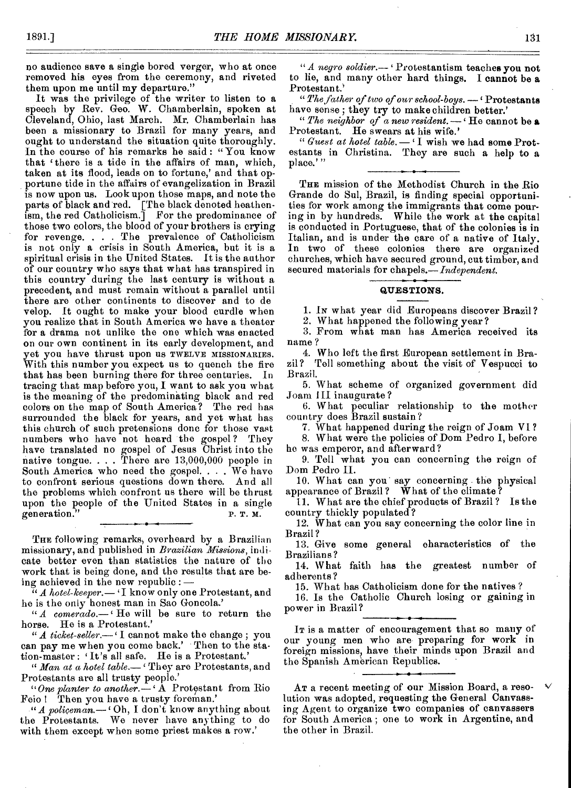no audience save a single bored verger, who at once removed his eyes from the ceremony, and riveted them upon me until my departure."

It was the privilege of the writer to listen to a speech by Rev. Geo. W. Chamberlain, spoken at Cleveland, Ohio, last March. Mr. Chamberlain has been a missionary to Brazil for many years, and ought to understand the situation quite thoroughly. In the course of his remarks he said: "You know that ' there is a tide in the affairs of man, which, taken at its flood, leads on to fortune,' and that opportune tide in the affairs of evangelization in Brazil is now upon us. Look upon those maps, and note the parts of black and red. [The black denoted heathenism, the red Catholicism.] For the predominance of those two colors, the blood of your brothers is crying for revenge. . . The prevalence of Catholicism is not only a crisis in South America, but it is a spiritual crisis in the United States. It is the author of our country who says that what has transpired in this country during the last century is without a precedent, and must remain without a parallel until there are other continents to discover and to de velop. It ought to make your blood curdle when you realize that in South America we have a theater for a drama not unlike the one which was enacted on our own continent in its early development, and yet you have thrust upon us TWELVE MISSIONARIES. With this number you expect us to quench the fire that has been burning there for three centuries. In tracing that map before you, I want to ask you what is the meaning of the predominating black and red colors on the map of South America? The red has surrounded the black for years, and yet what has this church of such pretensions done for those vast<br>numbers who have not heard the gospel? They numbers who have not heard the gospel? have translated no gospel of Jesus Christ into the native tongue.  $\ldots$  There are  $13,000,000$  people in South America who need the gospel. . . . We have to confront serious questions down there. And all the problems which confront us there will be thrust upon the people of the United States in a single generation."  $P. T. M.$ generation.

THE following remarks, overheard by a Brazilian missionary, and published in *Brazilian Missions,* indicate better even than statistics the nature of the work that is being done, and the results that are being achieved in the new republic : *—* 

 $\widetilde{H}$  *A hotel-keeper.*—  $\cdot$  I know only one Protestant, and he is the only honest man in Sao Goncola.'

*" A comerado.—'* He will be sure to return the horse. He is a Protestant.'

*"A ticket-seller,'* I cannot make the change ; you can pay me when you come back.' Then to the station-master : 'It's all safe. He is a Protestant.'

*" Man at a hotel table.—'* They are Protestants, and Protestants are all trusty people.'

*"One planter to another.—'* A Prot9stant from Rio Feio! Then you have a trusty foreman.'

*"A policeman,'* Oh, I don't know anything about the Protestants. We never have anything to do with them except when some priest makes a row.'

*"A negro soldier.—* Protestantism teaches you not to lie, and many other hard things. I cannot be a Protestant.'

*"The father of two of our school-boys. —'* Protestants have sense; they try to make children better.'

*" The neighbor of a new resident.—'* He cannot be **a**  Protestant. He swears at his wife.'

*" Guest at hotel table. —* I wish we had some Protestants in Christina. They are such a help to a place.'"

THE mission of the Methodist Church in the Rio Grande do Sul, Brazil, is finding special opportunities for work among the immigrants that come pouring in by hundreds. While the work at the capital is conducted in Portuguese, that of the colonies is in Italian, and is under the care of a native of Italy. In two of these colonies there are organized churches, which have secured ground, cut timber, and secured materials for chapels.— *Independent.* 

### **QUESTIONS.**

1. IN what year did Europeans discover Brazil ?

2. What happened the following year?

3. From what man has America received its name ?

4. Who left the first European settlement in Brazil? Tell something about the visit of Vespucci to Brazil.

5. What scheme of organized government did Joam III inaugurate ?

6. What peculiar relationship to the mother country does Brazil sustain?

7. What happened during the reign of Joam VI ?

8. What were the policies of Dom Pedro I, before he was emperor, and afterward?

9. Tell what you can concerning the reign of Dom Pedro II.

10. What can you' say concerning the physical appearance of Brazil? What of the climate?

11. What are the chief products of Brazil ? Is the country thickly populated?

12. What can you say concerning the color line in Brazil ?

13. Give some general characteristics of the Brazilians?

14. What faith has the greatest number of adherents ?

15. What has Catholicism done for the natives ?

16. Is the Catholic Church losing or gaining in power in Brazil?

IT is a matter of encouragement that so many of our young men who are preparing for work in foreign missions, have their minds upon Brazil and the Spanish American Republics.

AT a recent meeting of our Mission Board, a resolution was adopted, requesting the General Canvassing Agent to organize two companies of canvassers for South America ; one to work in Argentine, and the other in Brazil.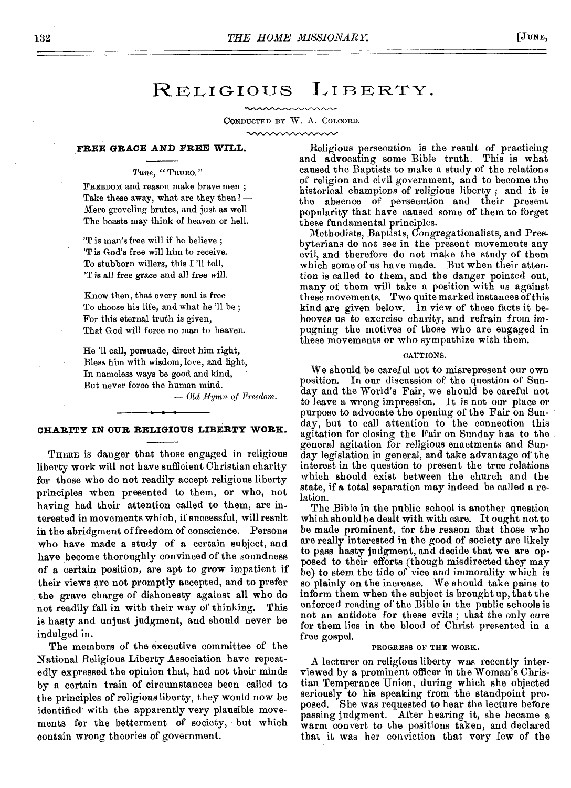## RELIGIOUS LIBERTY.

CONDUCTED BY W. A. COLCORD.

mummunn

### **FREE** *GRACE AND FREE* **WILL.**

## *Tune, "* TRURO."

FREEDOM and reason make brave men ; Take these away, what are they then? — Mere groveling brutes, and just as well The beasts may think of heaven or hell.

'T is man's free will if he believe ; 'T is God's free will him to receive. To stubborn willers, this I '11 tell, 'T is all free grace and all *free will.* 

Know then, that every soul is free To choose his life, and what he '11 be ; For this eternal truth is given, That God will force no man to heaven.

He '11 call, persuade, direct him right, Bless him with wisdom, love, and light, In nameless ways be good and kind, But never force the human mind.

*— Old Hymn of Freedom.* 

## ••••-•-•111 **CHARITY IN OUR RELIGIOUS LIBERTY WORK.**

THERE is danger that those engaged in religious liberty work will not have sufficient Christian charity for those who do not readily accept religious liberty principles when presented to them, or who, not having had their attention called to them, are interested in movements which, if successful, will result in the abridgment of freedom of conscience. Persons who have made a study of a certain subject, and have become thoroughly convinced of the soundness of a certain position, are apt to grow impatient if their views are not promptly accepted, and to prefer the grave charge of dishonesty against all who do not readily fall in with their way of thinking. This is hasty and unjust judgment, and should never be indulged in.

The members of the executive committee of the National Religious Liberty Association have repeatedly expressed the opinion that, had not their minds by a certain train of circumstances been called to the principles of religious liberty, they would now be identified with the apparently very plausible movements for the betterment of society, but which contain wrong theories of government.

Religious persecution is the result of practicing and advocating some Bible truth. This is what caused the Baptists to make a study of the relations of religion and civil government, and to become the historical champions of religious liberty ; and it is the absence of persecution and their present popularity that have caused some of them to forget these fundamental principles.

Methodists, Baptists, Congregationalists, and Presbyterians do not see in the present movements any evil, and therefore do not make the study of them which some of us have made. But when their attention is called to them, and the danger pointed out, many of them will take a position with us against these movements. Two quite marked instances of this kind are given below. In view of these facts it behooves us to exercise charity, and refrain from impugning the motives of those who are engaged in these movements or who sympathize with them.

### CAUTIONS.

We should be careful not to misrepresent our own position. In our discussion of the question of Sunday and the World's Fair, we should be careful not to leave a wrong impression. It is not our place or purpose to advocate the opening of the Fair on Sunday, but to call attention to the connection this agitation for closing the Fair on Sunday has to the general agitation for religious enactments and Sunday legislation in general, and take advantage of the interest in the question to present the true relations which should exist between the church and the state, if a total separation may indeed be called a relation.

The Bible in the public school is another question which should be dealt with with care. It ought not to be made prominent, *for* the reason that those who are really interested in the good of society are likely to pass hasty judgment, and decide that we are opposed to their efforts (though misdirected they may be) to stem the tide of vice and immorality which is so plainly on the increase. We should take pains to inform them when the subject is brought up, that the enforced reading of the Bible in the public schools is not an antidote for these evils ; that the only cure for them lies in the blood of Christ presented in a free gospel.

### PROGRESS OF THE WORK.

A lecturer on religious liberty was recently interviewed by a prominent officer in the Woman's Christian Temperance Union, during which she objected seriously to his speaking from the standpoint proposed. She was requested to hear the lecture before passing judgment. After hearing it, she became a warm convert to the positions taken, and declared that it was her conviction that very few of the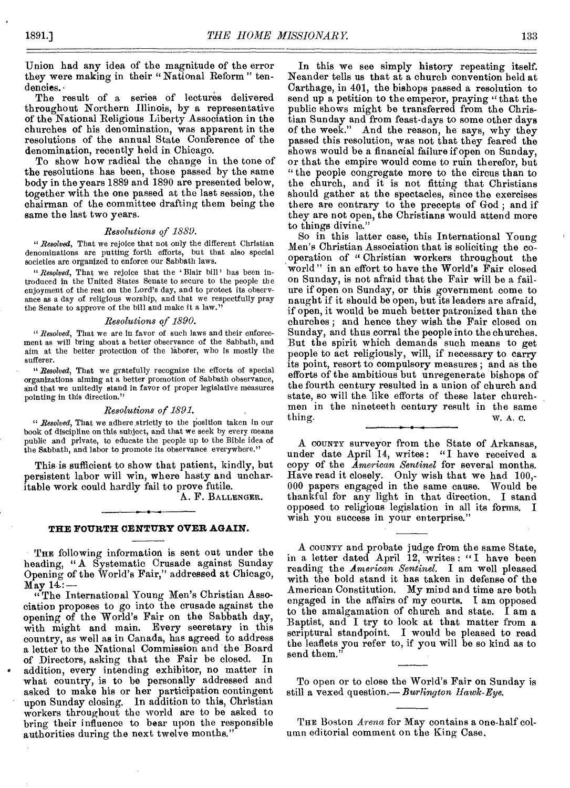Union had any idea of the magnitude of the error they were making in their "National Reform" tendencies. •

The result of a series of lectures delivered throughout Northern Illinois, by a representative of the National Religious Liberty Association in the churches of his denomination, was apparent in the resolutions of the annual State Conference of the denomination, recently held in Chicago.

To show how radical the change in the tone of the resolutions has been, those passed by the same body in the years 1889 and 1890 are presented below, together with the one passed at the last session, the chairman of the committee drafting them being the same the last two years.

### *Resolutions of 1889.*

*" Resolved,* That we rejoice that not only the different Christian denominations are putting forth efforts, but that also special societies are organized to enforce our Sabbath laws.

*"Resolved,* That we rejoice that the 'Blair bill' has been introduced in the United States Senate to secure to the people the enjoyment of the rest on the Lord's day, and to protect its observance as a day of religious worship, and that we respectfully pray the Senate to approve of the bill and make it a law."

### *Resolutions of 1890.*

*" Resolved,* That we are in favor of such laws and their enforcement as will bring about a better observance of the Sabbath, and aim at the better protection of the laborer, who is mostly the sufferer.

*" Resolved,* That we gratefully recognize the efforts of special organizations aiming at a better promotion of Sabbath observance, and that we unitedly stand in favor of proper legislative measures pointing in this direction."

### *Resolutions of 1891.*

*"Resolved,* That we adhere, strictly to the Position taken in our book of discipline on this subject, and that we seek by every means public and private, to educate the people up to the Bible idea of the Sabbath, and labor to promote its observance everywhere."

This is sufficient to show that patient, kindly, but persistent labor will win, where hasty and uncharitable work could hardly fail to prove futile.

A. F. BALLENGER.

### **THE FOURTH CENTURY OVER AGAIN.**

THE following information is sent out under the heading, " A Systematic Crusade against Sunday Opening of the World's Fair," addressed at Chicago, May  $14:$  –

" The International Young Men's Christian Association proposes to go into the crusade against the opening of the World's Fair on the Sabbath day, with might and main. Every secretary in this country, as well as in Canada, has agreed to address a letter to the National Commission and the Board of Directors, asking that the Fair be closed. addition, every intending exhibitor, no matter in what country, is to be personally addressed and asked to make his or her participation contingent upon Sunday closing. In addition to this, Christian workers throughout the world are to be asked to bring their influence to bear upon the responsible authorities during the next twelve months."

In this we see simply history repeating itself. Neander tells us that at a church convention held at Carthage, in 401, the bishops passed a resolution to send up a petition to the emperor, praying " that the public shows might be transferred from the Christian Sunday and from feast-days to some other days of the week." And the reason, he says, why they passed this resolution, was not that they feared the shows would be a financial failure if open on Sunday, or that the empire would come to ruin therefor, but " the people congregate more to the circus than to the church, and it is not fitting that Christians should gather at the spectacles, since the exercises there are contrary to the precepts of God ; and if they are not open, the Christians would attend more to things divine."

So in this latter case, this International Young Men's Christian Association that is soliciting the cooperation of " Christian workers throughout the world " in an effort to have the World's Fair closed on Sunday, is not afraid that the Fair will be a failure if open on Sunday, or this government come to naught if it should be open, but its leaders are afraid, if open, it would be much better patronized than the churches ; and hence they wish the Fair closed on Sunday, and thus corral the people into the churches. But the spirit which demands such means to get people to act religiously, will, if necessary to carry its point, resort to compulsory measures ; and as the efforts of the ambitious but unregenerate bishops of the fourth century resulted in a union of church and state, so will the like efforts of these later churchmen in the nineteeth century result in the same thing.  $W$ , A, C, w. A. C.

A COUNTY surveyor from the State of Arkansas, under date April 14, writes: "I have received a copy of the *American Sentinel* for several months. Have read it closely. Only wish that we had 100,- 000 papers engaged in the same cause. Would be thankful for any light in that direction. I stand opposed to religious legislation in all its forms. I wish you success in your enterprise."

A COUNTY and probate judge from the same State, in a letter dated April 12, writes : "I have been reading the *American Sentinel.* I am well pleased with the bold stand it has taken in defense of the American Constitution. My mind and time are both engaged in the affairs of my courts. I am opposed to the amalgamation of church and state. I am a Baptist, and I try to look at that matter from a scriptural standpoint. I would be pleased to read the leaflets you refer to, if you will be so kind as to send them."

To open or to close the World's Fair on Sunday is still a vexed question.— *Burlington Hawk-Eye.* 

THE Boston *Arena* for May contains a one-half column editorial comment on the King Case.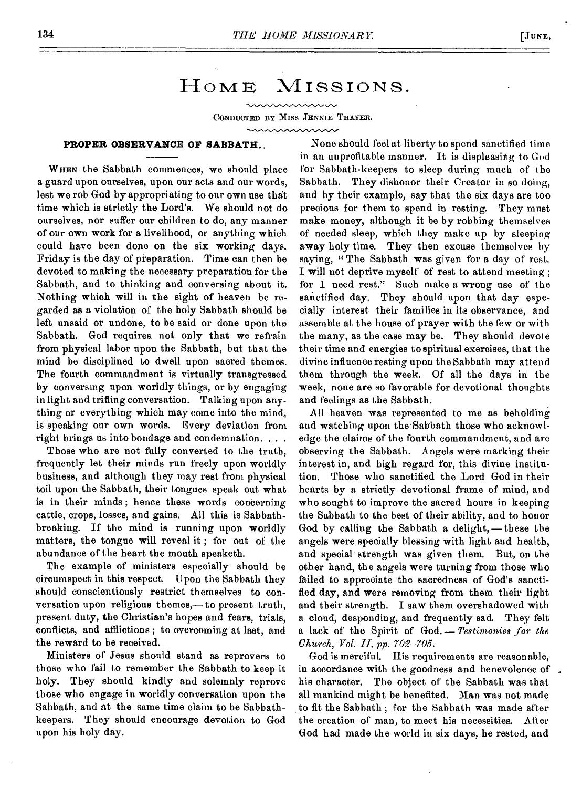## HOME MISSIONS.

mmm

CONDUCTED BY MISS JENNIE THAYER.

### www.www.

### **PROPER OBSERVANCE OF SABBATH..**

**W HEN** the Sabbath commences, we should place a guard upon ourselves, upon our acts and our words, lest we rob God by appropriating to our own use that time which is strictly the Lord's. We should not do ourselves, nor suffer our children to do, any manner of our own work for a livelihood, or anything which could have been done on the six working days. Friday is the day of preparation. Time can then be devoted to making the necessary preparation for the Sabbath, and to thinking and conversing about it. Nothing which will in the sight of heaven be regarded as a violation of the holy Sabbath should be left unsaid or undone, to be said or done upon the Sabbath. God requires not only that we refrain from physical labor upon the Sabbath, but that the mind be disciplined to dwell upon sacred themes. The fourth commandment is virtually transgressed by conversing upon worldly things, or by engaging in light and trifling conversation. Talking upon anything or everything which may come into the mind, is speaking our own words. Every deviation from right brings us into bondage and condemnation. . . .

Those who are not fully converted to the truth, frequently let their minds run freely upon worldly business, and although they may rest from physical toil upon the Sabbath, their tongues speak out what is in their minds ; hence these words concerning cattle, crops, losses, and gains. All this is Sabbathbreaking. If the mind is running upon worldly matters, the tongue will reveal it ; for out of the abundance of the heart the mouth speaketh.

The example of ministers especially should be circumspect in this respect. Upon the Sabbath they should conscientiously restrict themselves to conversation upon religious themes,— to present truth, present duty, the Christian's hopes and fears, trials, conflicts, and afflictions ; to overcoming at last, and the reward to be received.

Ministers of Jesus should stand as reprovers to those who fail to remember the Sabbath to keep it holy. They should kindly and solemnly reprove those who engage in worldly conversation upon the Sabbath, and at the same time claim to be Sabbathkeepers. They should encourage devotion to God upon his holy day.

None should feel at liberty to spend sanctified time in an unprofitable manner. It is displeasing to God for Sabbath-keepers to sleep during much of the Sabbath. They dishonor their Creator in so doing, and by their example, say that the six days are too precious for them to spend in resting. They must make money, although it be by robbing themselves of needed sleep, which they make up by sleeping away holy time. They then excuse themselves by saying, "The Sabbath was given for a day of rest. I will not deprive myself of rest to attend meeting ; for I need rest." Such make a wrong use of the sanctified day. They should upon that day especially interest their families in its observance, and assemble at the house of prayer with the few or with the many, as the case may be. They should devote their time and energies to spiritual exercises, that the divine influence resting upon the Sabbath may atten d them through the week. Of all the days in the week, none are so favorable for devotional thoughts and feelings as the Sabbath.

All heaven was represented to me as beholding and watching upon the Sabbath those who acknowledge the claims of the fourth commandment, and are observing the Sabbath. Angels were marking their interest in, and high regard for, this divine institution. Those who sanctified the Lord God in their hearts by a strictly devotional frame of mind, and who sought to improve the sacred hours in keeping the Sabbath to the best of their ability, and to honor God by calling the Sabbath a delight,—these the angels were specially blessing with light and health, and special strength was given them. But, on the other band, the angels were turning from those who failed to appreciate the sacredness of God's sanctified day, and were removing from them their light and their strength. I saw them overshadowed with a cloud, desponding, and frequently sad. They felt a lack of the Spirit of God. *— Testimonies for the Church, Vol. II, pp. 702-705.* 

God is merciful. His requirements are reasonable, in accordance with the goodness and benevolence of his character. The object of the Sabbath was that all mankind might be benefited. Man was not made to fit the Sabbath ; for the Sabbath was made after the creation of man, to meet his necessities. After God had made the world in six days, he rested, and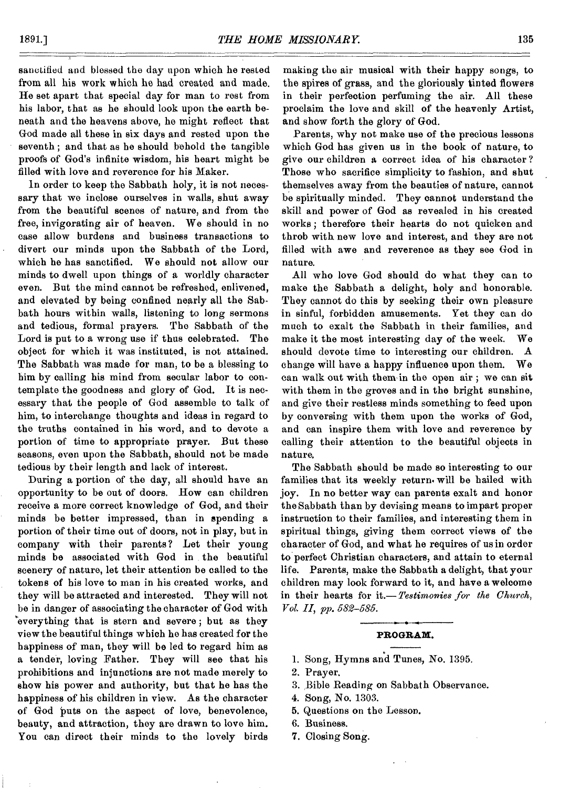sanctified and blessed the day upon which he rested from all his work which he had created and made. He set apart that special day for man to rest from his labor, that as he should look upon the earth beneath and the heavens above, he might reflect that God made all these in six days and rested upon the seventh ; and that as he should behold the tangible proofs of God's infinite wisdom, his heart might be filled with love and reverence for his Maker.

In order to keep the Sabbath holy, it is not necessary that we inclose ourselves in walls, shut away from the beautiful scenes of nature, and from the free, invigorating air of heaven. We should in no case allow burdens and business transactions to divert our minds upon the Sabbath of the Lord, which he has sanctified. We should not allow our minds to dwell upon things of a worldly character even. But the mind cannot be refreshed, enlivened, and elevated by being confined nearly all the Sabbath hours within walls, listening to long sermons and tedious, formal prayers. The Sabbath of the Lord is put to a wrong use if thus celebrated. The object for which it was instituted, is not attained. The Sabbath was made for man, to be a blessing to him by calling his mind from secular labor to contemplate the goodness and glory of God. It is necessary that the people of God assemble to talk of him, to interchange thoughts and ideas in regard to the truths contained in his word, and to devote a portion of time to appropriate prayer. But these seasons, even upon the Sabbath, should not be made tedious by their length and lack of interest.

During a portion of the day, all should have an opportunity to be out of doors. How can children receive a more correct knowledge of God, and their minds be better impressed, than in spending a portion of their time out of doors, not in play, but in company with their parents? Let their young minds be associated with God in the beautiful scenery of nature, let their attention be called to the tokens of his love to man in his created works, and they will be attracted and interested. They will not be in danger of associating the character of God with everything that is stern and severe; but as they view the beautiful things which he has created for the happiness of man, they will be led to regard him as a tender, loving Father. They will see that his prohibitions and injunctions are not made merely to show his power and authority, but that he has the happiness of his children in view. As the character of God puts on the aspect of love, benevolence, beauty, and attraction, they are drawn to love him. You can direct their minds to the lovely birds

making the air musical with their happy songs, to the spires of grass, and the gloriously tinted flowers in their perfection perfuming the air. All these proclaim the love and skill of the heavenly Artist, and show forth the glory of God.

Parents, why not make use of the precious lessons which God has given us in the book of nature, to give our children a correct idea of his character ? Those who sacrifice simplicity to fashion, and shut themselves away from the beauties of nature, cannot be spiritually minded. They cannot understand the skill and power of God as revealed in his created works ; therefore their hearts do not quicken and throb with new love and interest, and they are not filled with awe and reverence as they see God in nature.

All who love God should do what they can to make the Sabbath a delight, holy and honorable. They cannot do this by seeking their own pleasure in sinful, forbidden amusements. Yet they can do much to exalt the Sabbath in their families, and make it the most interesting day of the week. We should devote time to interesting our children. A change will have a happy influence upon them. We can walk out with them in the open air ; we can sit with them in the groves and in the bright sunshine, and give their restless minds something to feed upon by conversing with them upon the works of God, and can inspire them with love and reverence by calling their attention to the beautiful objects in nature.

The Sabbath should be made so interesting to our families that its weekly return, will be bailed with joy. In no better way can parents exalt and honor the Sabbath than by devising means to impart proper instruction to their families, and interesting them in spiritual things, giving them correct views of the character of God, and what he requires of us in order to perfect Christian characters, and attain to eternal life. Parents, make the Sabbath a delight, that your children may look forward to it, and have a welcome in their hearts for it.— *Testimonies for the Church, Vol. II, pp. 582-585.* 

### **PROGRAM.**

## 1. Song, Hymns and Tunes, No. 1395.

- 2. Prayer.
- 3. Bible Reading on Sabbath Observance.
- 4. Song, No. 1303.
- 5. Questions on the Lesson.
- 6. Business.
- 7. Closing Song.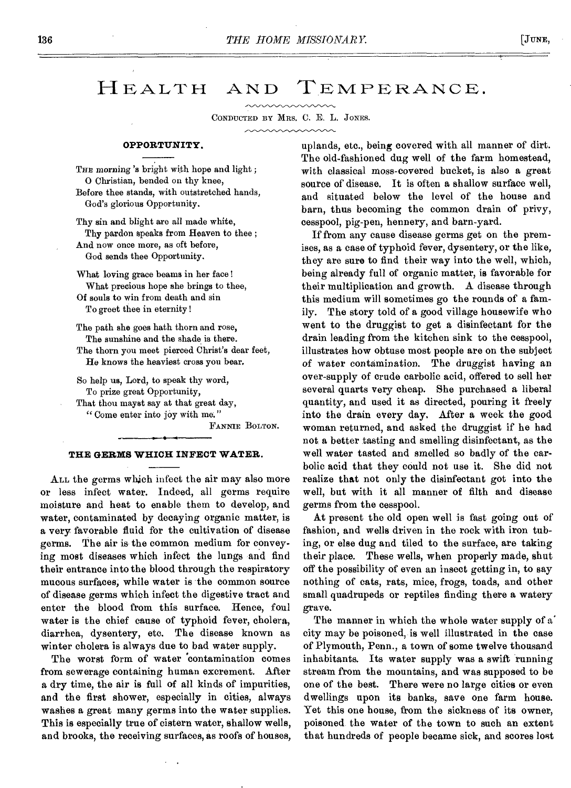## HEALTH AND TEMPERANCE.

CONDUCTED BY MRS. C. E. L. JONES.

### **OPPORTUNITY.**

THE morning 's bright with hope and light; 0 Christian, bended on thy knee, Before thee stands, with outstretched hands, God's glorious Opportunity.

Thy sin and blight are all made white, Thy pardon speaks from Heaven to thee ; And now once more, as oft before, God sends thee Opportunity.

What loving grace beams in her face! What precious hope she brings to thee,

Of souls to win from death and sin To greet thee in eternity !

The path she goes hath thorn and rose, The sunshine and the shade is there. The thorn you meet pierced Christ's dear feet,

He knows the heaviest cross you bear.

So help us, Lord, to speak thy word, To prize great Opportunity, That thou mayst say at that great day, " Come enter into joy with me."

FANNIE BOLTON.

### **THE GERMS WHICH INFECT WATER.**

ALL the germs which infect the air may also more or less infect water. Indeed, all germs require moisture and heat to enable them to develop, and water, contaminated by decaying organic matter, is a very favorable fluid for the cultivation of disease germs. The air is the common medium for conveying most diseases which infect the lungs and find their entrance into the blood through the respiratory mucous surfaces, while water is the common source of disease germs which infect the digestive tract and enter the blood from this surface. Hence, foul water is the chief cause of typhoid fever, cholera, diarrhea, dysentery, etc. The disease known as winter cholera is always due to bad water supply.

The worst form of water 'contamination comes from sewerage containing human excrement. After a dry time, the air is full of all kinds of impurities, and the first shower, especially in cities, always washes a great many germs into the water supplies. This is especially true of cistern water, shallow wells, and brooks, the receiving surfaces, as roofs of houses,

uplands, etc., being covered with all manner of dirt. The old-fashioned dug well of the farm homestead, with classical moss-covered bucket, is also a great source of disease. It is often a shallow surface well, and situated below the level of the house and barn, thus becoming the common drain of privy, cesspool, pig-pen, hennery, and barn-yard.

If from any cause disease germs get on the premises, as a case of typhoid fever, dysentery, or the like, they are sure to find their way into the well, which, being already full of organic matter, is favorable for their multiplication and growth. A disease through this medium will sometimes go the rounds of a family. The story told of a good village housewife who went to the druggist to get a disinfectant for the drain leading from the kitchen sink to the cesspool, illustrates how obtuse most people are on the subject of water contamination. The druggist having an over-supply of crude carbolic acid, offered to sell her several quarts very cheap. She purchased a liberal quantity, and used it as directed, pouring it freely into the drain every day. After a week the good woman returned, and asked the druggist if he had not, a better tasting and smelling disinfectant, as the well water tasted and smelled so badly of the carbolic acid that they could not use it. She did not realize that not only the disinfectant got into the well, but with it all manner of filth and disease germs from the cesspool.

At present the old open well is fast going out of fashion, and wells driven in the rock with iron tubing, or else dug and tiled to the surface, are taking their place. These wells, when properly made, shut off the possibility of even an insect getting in, to say nothing of cats, rats, mice, frogs, toads, and other small quadrupeds or reptiles finding there a watery grave.

The manner in which the whole water supply of a' city may be poisoned, is well illustrated in the case of Plymouth, Penn., a town of some twelve thousand inhabitants. Its water supply was a swift running stream from the mountains, and was supposed to be one of the best. There were no large cities or even dwellings upon its banks, save one farm house. Yet this one house, from the sickness of its owner, poisoned the water of the town to such an extent that hundreds of people became sick, and scores lost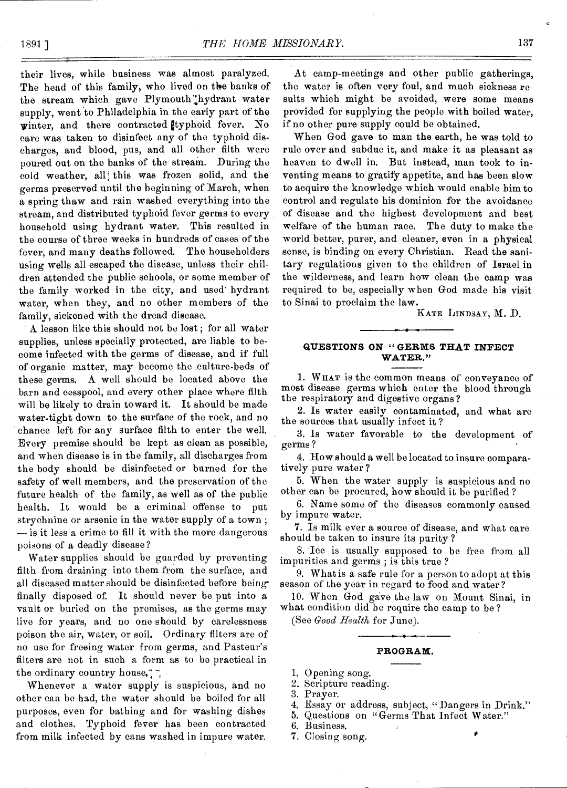their lives, while business was almost paralyzed. The head of this family, who lived on the banks of the stream which gave Plymouth hydrant water supply, went to Philadelphia in the early part of the winter, and there contracted typhoid fever. No care was taken to disinfect any of the typhoid discharges, and blood, pus, and all other filth were poured out on the banks of the stream. During the cold weather, all this was frozen solid, and the germs preserved until the beginning of March, when a spring thaw and rain washed everything into the stream, and distributed typhoid fever germs to every household using hydrant water. This resulted in the course of three weeks in hundreds of cases of the fever, and many deaths followed. The householders using wells all escaped the disease, unless their children attended the public schools, or some member of the family worked in the city, and used' hydrant water, when they, and no other members of the family, sickened with the dread disease.

A lesson like this should not be lost ; for all water supplies, unless specially protected, are liable to become infected with the germs of disease, and if full of organic matter, may become the culture-beds of these germs. A well should be located above the barn and cesspool, and every other place where filth will be likely to drain toward it. It should be made water-tight down to the surface of the rock, and no chance left for any surface filth to enter the well. Every premise should be kept as clean as possible, and when disease is in the family, all discharges from the body should be disinfected or burned for the safety of well members, and the preservation of the future health of the family, as well as of the public health. It would be a criminal offense to put strychnine or arsenic in the water supply of a town ; — is it less a crime to fill it with the more dangerous poisons of a deadly disease?

Water supplies should be guarded by preventing filth from draining into them from the surface, and all diseased matter should be disinfected before being finally disposed of. It should never be put into a vault or buried on the premises, as the germs may live for years, and no one should by carelessness poison the air, water, or soil. Ordinary filters are of no use for freeing water from germs, and Pasteur's filters are not in such a form as to be practical in the ordinary country house.<sup>"</sup>,

Whenever a water supply is suspicious, and no other can be had, the water should be boiled for all purposes, even for bathing and for washing dishes and clothes. Typhoid fever has been contracted from milk infected by cans washed in impure water.

At camp-meetings and other public gatherings, the water is often very foul, and much sickness results which might be avoided, were some means provided for supplying the people with boiled water, if no other pure supply could be obtained.

When God gave to man the earth, he was told to rule over and subdue it, and make it as pleasant as heaven to dwell in. But instead, man took to inventing means to gratify appetite, and has been slow to acquire the knowledge which would enable him to control and regulate his dominion for the avoidance of disease and the highest development and best welfare of the human race. The duty to make the world better, purer, and cleaner, even in a physical sense, is binding on every Christian. Read the sanitary regulations given to the children of Israel in the wilderness, and learn how clean the camp was required to be, especially when God made his visit to Sinai to proclaim the law.

KATE LINDSAY, M. D.

### **QUESTIONS ON " GERMS THAT INFECT WATER."**

1. W HAT is the common means of conveyance of most disease germs which enter the blood through the respiratory and digestive organs?

2. Is water easily contaminated, and what are the sources that usually infect it ?

3. Is water favorable to the development of germs ?

4. How should a well be located to insure comparatively pure water ?

5. When the water supply is suspicious and no other can be procured, how should it be purified ?

6. Name some of the diseases commonly caused by impure water.

7. Is milk ever a source of disease, and what care should be taken to insure its purity ?

8. Ice is usually supposed to be free from all impurities and germs ; is this true ?

9. What is a safe rule for a person to adopt at this season of the year in regard to food and water?

10. When God gave the law on Mount Sinai, in what condition did he require the camp to be ?

(See *Good Health* for June).

### **PROGRAM.**

1. Opening song.

2. Scripture reading.

3. Prayer.

4. Essay or address, subject, "Dangers in Drink."

5. Questions on "Germs That Infect Water."

6. Business.

7. Closing song. •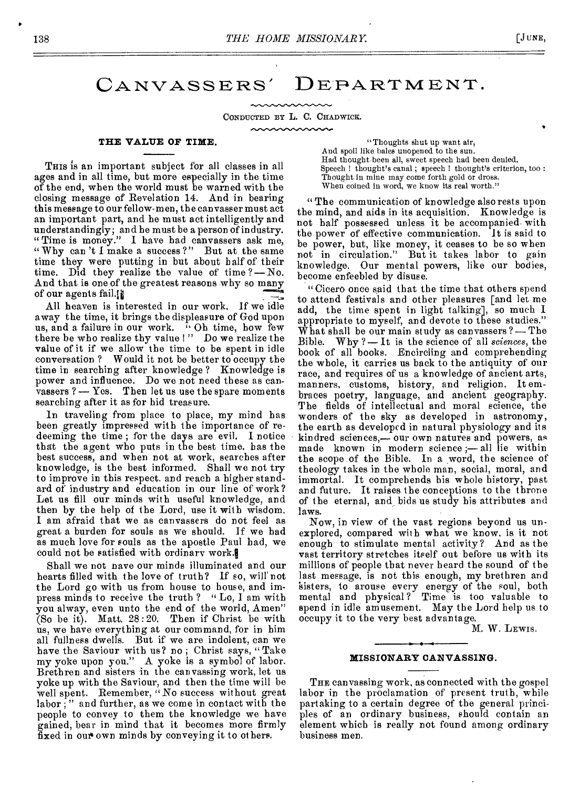CANVASSERS' DEPARTMENT.

CONDUCTED BY L. C. CHADWICK.

### **THE VALUE OF TIME.**

THIS is an important subject for all classes in all ages and in all time, but more especially in the time of the end, when the world must be warned with the closing message of Revelation 14. And in bearing this message to our fellow-men, the canvasser must act an important part, and he must act intelligently and understandingly; and he must be a person of industry. " Time is money." I have had canvassers ask me, " Why can't I make a success?" But at the same time they were putting in but about half of their time. Did they realize the value of time ?— No. And that is one of the greatest reasons why so many of our agents fail.

All heaven is interested in our work. If we idle away the time, it brings the displeasure of God upon us, and a failure in our work. <sup>7</sup> Oh time, how few there be who realize thy value ! " Do we realize the value of it if we allow the time to be spent in idle conversation ? Would it not be better to occupy the time in searching after knowledge ? Knowledge is power and influence. Do we not need these as canvassers ? — Yes. Then let us use the spare moments searching after it as for hid treasure.

In traveling from place to place, my mind has been greatly impressed with the importance of redeeming the time ; for the days are evil. I notice that the agent who puts in the best time, bas the best success, and when not at work, searches after knowledge, is the best informed. Shall we not try to improve in this respect. and reach a higher standard of industry and education in our line of work? Let us fill our minds with useful knowledge, and then by the help of the Lord, use it with wisdom. I am afraid that we as canvassers do not feel as great a burden for souls as we should. If we had as much love for souls as the apostle Paul had, we could not be satisfied with ordinary work.

Shall we not nave our minds illuminated and our hearts filled with the love of truth? If so, will' not the Lord go with us from house to house, and impress minds to receive the truth ? "Lo, I am with you alway, even unto the end of the world, Amen" (So be it). Matt. 28 :20. Then if Christ be with us, we have everything at our command, for in him all fullness dwells. But if we are indolent, can we have the Saviour with us? no; Christ says, "Take my yoke upon you." A yoke is a symbol of labor. Brethren and sisters in the canvassing work, let us yoke up with the Saviour, and then the time will be well spent. Remember, "No success without great labor ; " and further, as we come in contact with the people to convey to them the knowledge we have gained, bear in mind that it becomes more firmly fixed in our own minds by conveying it to others.

"Thoughts shut up want air, And spoil like bales unopened to the sun. Had thought,been all, sweet speech had been denied. Speech ! thought's canal ; speech ! thought's criterion, too : Thought in mine may come forth gold or dross. When coined in word, we know its real worth."

"The communication of knowledge also rests upon the mind, and aids in its acquisition. Knowledge is not half possessed unless it be accompanied with the power of effective communication. It is said to be power, but, like money, it ceases to be so when not in circulation." But it takes labor to gain knowledge. Our mental powers, like our bodies, become enfeebled by disuse.

"Cicero once said that the time that others spend to attend festivals and other pleasures [and let me add, the time spent in light talking], so much I appropriate to myself, and devote to these studies." What shall be our main study as canvassers ?— The Bible. Why ?— It is the science of all *sciences,* the book of all books. Encircling and comprehending the whole, it carries us back to the antiquity of our race, and requires of us a knowledge of ancient arts, manners, customs, history, and religion. It embraces poetry, language, and ancient geography. The fields of intellectual and moral science, the wonders of the sky as developed in astronomy, the earth as developed in natural physiology and its kindred sciences,— our own natures and powers, as made known in modern science ;— all lie within the scope of the Bible. In a word, the science of theology takes in the whole man, social, moral, and immortal. It comprehends his whole history, past and future. It raises the conceptions to the throne of the eternal, and bids us study his attributes and laws.

Now, in view of the vast regions beyond us unexplored, compared with what we know, is it not enough to stimulate mental activity? And as the vast territory stretches itself out before us with its millions of people that never heard the sound of the last message, is not this enough, my brethren and sisters, to arouse every energy of the soul, both mental and physical ? Time is too valuable to spend in idle amusement. May the Lord help us to occupy it to the very best advantage.

M. W. LEWIS.

#### **MISSIONARY CANVASSING.**

**THE** canvassing work, as connected with the gospel labor in the proclamation of present truth, while partaking to a certain degree of the general principles of an ordinary business, should contain an element which is really not found among ordinary business men.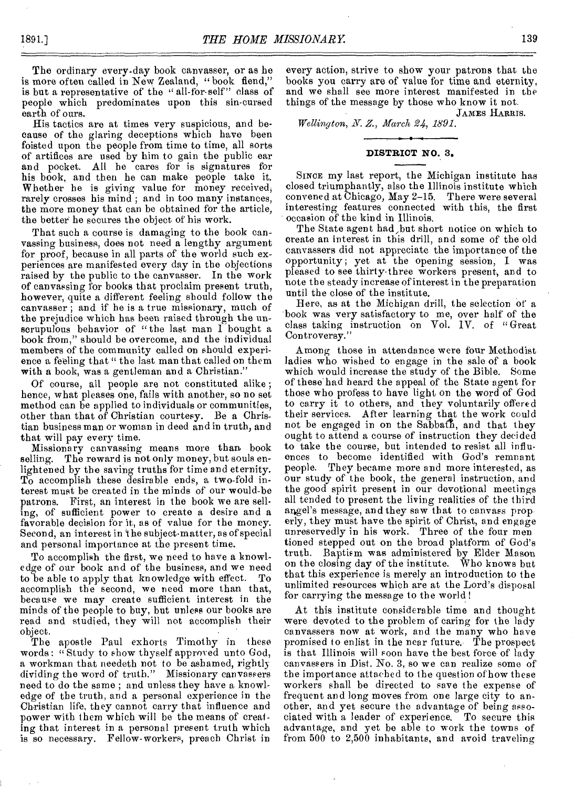The ordinary every-day book canvasser, or as he is more often called in New Zealand, "book fiend," is but a representative of the " all-for-self" class of people which predominates upon this sin-cursed earth of ours.

His tactics are at times very suspicious, and because of the glaring deceptions which have been foisted upon the people from time to time, all sorts of artifices are used by him to gain the public ear and pocket. All he cares for is signatures for his book, and then he can make people take it. Whether he is giving value for money received, rarely crosses his mind; and in too many instances, the more money that can be obtained for the article, the better he secures the object of his work.

That such a course is damaging to the book canvassing business, does not need a lengthy argument for proof, because in all parts of the world such experiences are manifested every day in the objections raised by the public to the canvasser. In the work of canvassing for books that proclaim present truth, however, quite a different feeling should follow the canvasser ; and if he is a true missionary, much of the prejudice which has been raised through the unscrupulous behavior of "the last man I bought a book from," should be overcome, and the individual members of the community called on should experience a feeling that " the last man that called on them with a book, was a gentleman and a Christian."

Of course, all people are not constituted alike ; hence, what pleases one, fails with another, so no set method can be applied to individuals or communities, other than that of Christian courtesy. Be a Christian business man or woman in deed and in truth, and that will pay every time.

Missionary canvassing means more than book selling. The reward is not only money, but souls enlightened by the saving truths for time and eternity. To accomplish these desirable ends, a two-fold interest must be created in the minds of our would-be patrons. First, an interest in the book we are selling, of sufficient power to create a desire and a favorable decision for it, as of value for the money. Second, an interest in 'the subject-matter, as of special and personal importance at the present time.

To accomplish the first, we need to have a knowledge of our book and of the business, and we need to be able to apply that knowledge with effect. To accomplish the second, we need more than that, because we may create sufficient interest in the minds of the people to buy, but unless our books are read and studied, they will not accomplish their object.

The apostle Paul exhorts Timothy in these words; " Study to show thyself approved unto God, a workman that needeth not to be ashamed, rightly dividing the word of truth." Missionary canvassers need to do the same ; and unless they have a knowledge of the truth, and a personal experience in the Christian life, they cannot carry that influence and power with them which will be the means of creating that interest in a personal present truth which is so necessary. Fellow-workers, preach Christ in

every action, strive to show your patrons that the books you carry are of value for time and eternity, and we shall see more interest manifested in the things of the message by those who know it not.

JAMES HARRIS.

*Wellington, N. Z., March 24, 1891.* 

### **DISTRICT NO. 3.**

SINCE my last report, the Michigan institute has closed triumphantly, also the Illinois institute which convened at Chicago, May 2-15. There were several interesting features connected with this, the first occasion of the kind in Illinois.

The State agent had,but short notice on which to create an interest in this drill, and some of the old canvassers did not appreciate the importance of the opportunity ; yet at the opening session, I was pleased to see thirty-three workers present, and to note the steady increase of interest in the preparation until the close of the institute.

Bere, as at the Michigan drill, the selection of a book was very satisfactory to me, over half' of the class taking instruction on Vol. IV. of "Great Controversy."

Among those in attendance were four Methodist ladies who wished to engage in the sale of a book which would increase the study of the Bible. Some of these had heard the appeal of the State agent for those who profess to have light on the word of God to carry it to others, and they voluntarily offered their services. After learning that the work could not be engaged in on the Sabbath, and that they ought to attend a course of instruction they decided to take the course, but intended to resist all influences to become identified with God's remnant people. They became more and more interested, as our study of the book, the general instruction, and the good spirit present in our devotional meetings all tended to present the living realities of the third angel's message, and they saw that to canvass prop erly, they must have the spirit of Christ, and engage unreservedly in his work. Three of the four men tioned stepped out on the broad platform of God's truth. Baptism was administered by Elder Mason on the closing day of the institute. Who knows but that this experience is merely an introduction to the unlimited resources which are at the Lord's disposal for carrying the message to the world !

At this institute considerable time and thought were devoted to the problem of caring for the lady canvassers now at work, and the many who have promised to enlist in the near future. The prospect is that Illinois will soon have the best force of lady canvassers in Dist. No. 3, so we can realize some of the importance attached to the question of how these workers shall be directed to save the expense of frequent and long moves from one large city to another, and yet secure the advantage of being associated with a leader of experience. To secure this advantage, and yet be able to work the towns of from 500 to 2,500 inhabitants, and avoid traveling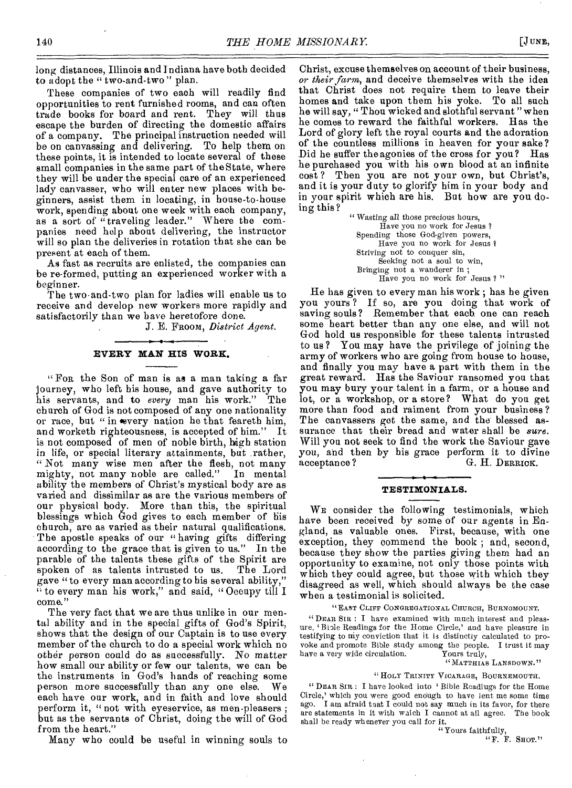long distances, Illinois and Indiana have both decided to adopt the " two-and-two " plan.

These companies of two each will readily find opportunities to rent furnished rooms, and can often trade books for board and rent. They will thus escape the burden of directing the domestic affairs of a company. The principal instruction needed will be on canvassing and delivering. To help them on these points, it is intended to locate several of these small companies in the same part of the State, where they will be under the special care of an experienced lady canvasser, who will enter new places with beginners, assist them in locating, in house-to-house work, spending about one week with each company, as a sort of "traveling leader." Where the companies need help about delivering, the instructor will so plan the deliveries in rotation that she can be present at each of them.

As fast as recruits are enlisted, the companies can be re-formed, putting an experienced worker with a beginner.

The two and-two plan for ladies will enable us to receive and develop new workers more rapidly and satisfactorily than we have heretofore done.

J. E. FROOM, *District Agent.* 

### **EVERY MAN HIS WORK.**

" FOR the Son of man is as a man taking a far journey, who left his house, and gave authority to his servants, and to *every* man his work." The church of God is not composed of any one nationality or race, but " in every nation he that feareth him, and worketh righteousness, is accepted of him." It and worketh righteousness, is accepted of him." is not composed of men of noble birth, high station in life, or special literary attainments, but rather, " Not many wise men after the flesh, not many mighty, not many noble are called." In mental mighty, not many noble are called." ability the members of Christ's mystical body are as varied and dissimilar as are the various members of our physical body. More than this, the spiritual blessings which God gives to each member of his church, are as varied as their natural qualifications. The apostle speaks of our "having gifts differing" according to the grace that is given to us." In the parable of the talents these gifts of the Spirit are spoken of as talents intrusted to us. gave " to every man according to his several ability," to every man his work," and said, " Occupy till I come."

The very fact that we are thus unlike in our mental ability and in the special gifts of God's Spirit, shows that the design of our Captain is to use every member of the church to do a special work which no other person could do as successfully. No matter bow small our ability or few our talents, we can be the instruments in God's hands of reaching some person more successfully than any one else. We each have our work, and in faith and love should perform it, "not with eyeservice, as men pleasers; but as the servants of Christ, doing the will of God from the heart."

Many who could be useful in winning souls to

Christ, excuse themselves on account of their business, *or their farm,* and deceive themselves with the idea that Christ does not require them to leave their homes and take upon them his yoke. To all such he will say, " Thou wicked and slothful servant "when he comes to reward the faithful workers. Has the Lord of glory left the royal courts and the adoration of the countless millions in heaven for your sake ? Did he suffer the agonies of the cross for you? Has he purchased you with his own blood at an infinite cost ? Then you are not your own, but Christ's, and it is your duty to glorify him in your body and in your spirit which are his. But how are you doing this ?

" Wasting all those precious hours, Have you no work for Jesus ? Spending those God-given powers, Have you no work for Jesus ? Striving not to conquer sin, Seeking not a soul to win, Bringing not a wanderer in ; Have you no work for Jesus ? "

He has given to every man his work ; has he given you yours ? If so, are you doing that work of saving souls? Remember that each one can reach some heart better than any one else, and will not God hold us responsible for these talents intrusted to us ? You may have the privilege of joining the army of workers who are going from house to house, and finally you may have a part with them in the great reward. Has the Saviour ransomed you that you may bury your talent in a farm, or a house and lot, or a workshop, or a store? What do you get more than food and raiment from your business ? The canvassers get the same, and the blessed assurance that their bread and water shall be *sure.*  Will you not seek to find the work the Saviour gave you, and then by his grace perform it to divine acceptance? G. H. DERRICK. G. H. DERRICK.

### **TESTIMONIALS.**

WE consider the following testimonials, which have been received by some of our agents in England, as valuable ones. First, because, with one exception, they commend the book ; and, second, because they show the parties giving them had an opportunity to examine, not only those points with which they could agree, but those with which they disagreed as well, which should always be the case when a testimonial is solicited.

"EAST CLIFF CONGREGATIONAL CHURCH, BURNOMOUNT.

"DEAR SIR : I have examined with much interest and pleasure, 'Biole Readings for the Home Circle,' and have pleasure in testifying to my conviction that it is distinctly calculated to provoke and promote Bible study among the people. I trust it may have a very wide circulation. Yours truly, have a very wide circulation.

### " MATTHIAS LANSDOWN."

### "HOLY TRINITY VICARAGE, BOURNEMOUTH,

" DEAR SIR: I have looked into 'Bible Readings for the Home Circle,' which you were good enough to have lent me some time ago. I am afraid toat I could not say much in its favor, for there are statements in it with waich I cannot at all agree. The book shall be ready whenever you call for it.

"Yours faithfully,

"F. F. SHOT."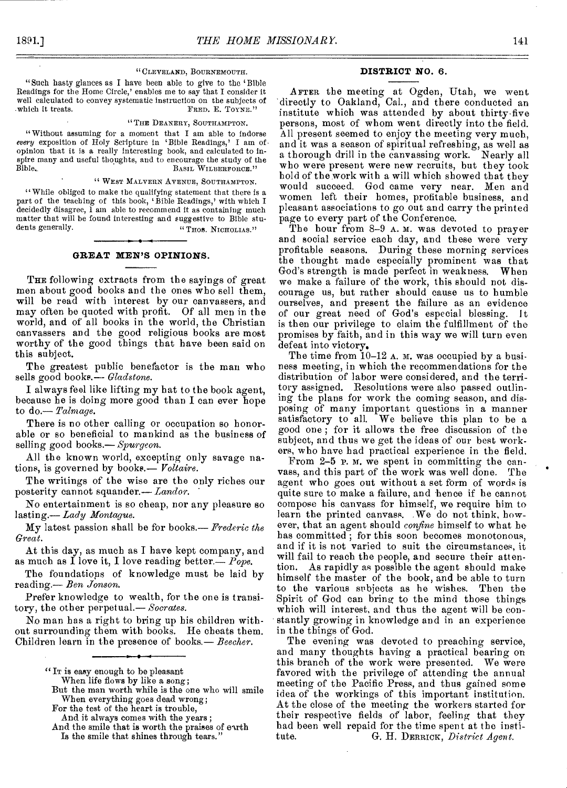### " CLEVELAND, BOURNEMOUTH.

"Such hasty glances as I have been able to give to the 'Bible Readings for the Home Circle,' enables me to say that I consider it well calculated to convey systematic instruction on the subjects of which it treats. FRED. E. TOYNE."

#### "THE DEANERY, SOUTHAMPTON.

"Without assuming for a moment that I am able to indorse *every* exposition of Holy Scripture in 'Bible Readings,' I am of • opinion that it is a really interesting book, and calculated to inspire many and useful thoughts, and to encourage the study of the Bible.<br>Bible. Basic WILBERFORCE." BASIL WILBERFORCE."

### " WEST MALVERN AVENUE, SOUTHAMPTON.

"While obliged to make the qualifying statement that there is a part of the teaching of this book, 'Bible Readings,' with which I decidedly disagree, 1 am able to recommend it as containing much matter that will be found interesting and suggestive to Bible stu-<br>dents generally. <br>  $\cdot$   $\cdot$  THOS. NICHOLAS." " THOS. NICHOLIAS."

### **GREAT MEN'S OPINIONS.**

THE following extracts from the sayings of great men about good books and the ones who sell them, will be read with interest by our canvassers, and may often be quoted with profit. Of all men in the world, and of all books in the world, the Christian canvassers and the good religious books are most worthy of the good things that have been said on this subject.

The greatest public benefactor is the man who sells good books.— *Gladstone*.

I always feel like lifting my hat to the book agent, because he is doing more good than I can ever hope to do.— *Talmage.* 

There is no other calling or occupation so honorable or so beneficial to mankind as the business of selling good books.— *Spurgeon.* 

All the known world, excepting only savage nations, is governed by books.— *Voltaire.* 

The writings of the wise are the only riches our posterity cannot squander.— *Landor.* 

No entertainment is so cheap, nor any pleasure so lasting.— *Lady Montague.* 

My latest passion shall be for books.— *Frederic the Great.* 

At this day, as much as I have kept company, and as much as I love it, I love reading better.— *Pope.* 

The foundations of knowledge must be laid by reading.— *Ben Jonson.* 

Prefer knowledge to wealth, for the one is transitory, the other perpetual.— *Socrates.* 

No man has a right to bring up his children without surrounding them with books. He cheats them. Children learn in the presence of books.— *Beecher.* 

And it always comes with the years ;

### **DISTRICT NO.** 6.

AFTER the meeting at Ogden, Utah, we went directly to Oakland, Cal., and there conducted an institute which was attended by about thirty-five persons, most of whom went directly into the field. All present seemed to enjoy the meeting very much, and it was a season of spiritual refreshing, as well as a thorough drill in the canvassing work. Nearly all who were present were new recruits, but they took hold of the work with a will which showed that they would succeed. God came very near. Men and women left their homes, profitable business, and pleasant associations to go out and carry the printed page to every part of the Conference.

The hour from 8-9 A.M. was devoted to prayer and social service each day, and these were very profitable seasons. During these morning services the thought made especially prominent was that God's strength is made perfect in weakness. When we make a failure of the work, this should not discourage us, but rather should cause us to humble ourselves, and present the failure as an evidence of our great need of God's especial blessing. 1t is then our privilege to claim the fulfillment of the promises by faith, and in this way we will turn even defeat into victory.

The time from 10-12 A. M. was occupied by a business meeting, in which the recommendations for the distribution of labor were considered, and the territory assigned. Resolutions were also passed outlining the plans for work the coming season, and disposing of many important questions in a manner satisfactory to all. We believe this plan to be a We believe this plan to be a good one ; for it allows the free discussion of the subject, and thus we get the ideas of our best workers, who have had practical experience in the field.

From 2-5 p. M. we spent in committing the canvass, and this part of the work was well done. The agent who goes out without a set form of words is quite sure to make a failure, and hence if he cannot compose his canvass for himself, we require him to learn the printed canvass. We do not think, however, that an agent should *confine* himself to what he has committed; for this soon becomes monotonous, and if it is not varied to suit the circumstances, it will fail to reach the people, and secure their attention. As rapidly as possible the agent should make himself the master of the book, and be able to turn to the various subjects as he wishes. Then the Spirit of God can bring to the mind those things which will interest, and thus the agent will be constantly growing in knowledge and in an experience in the things of God.

The evening was devoted to preaching service, and many thoughts having a practical bearing on this branch of the work were presented. We were favored with the privilege of attending the annual meeting of the Pacific Press, and thus gained some idea of the workings of this important institution. At the close of the meeting the workers started for their respective fields of labor, feeling that they had been well repaid for the time spent at the institute.<br>tute. G. H. DERRICK. District Agent. G. H. DERRICK, *District Agent.* 

<sup>&</sup>quot;Ir is easy enough to be pleasant

When life flows by like a song;

But the man worth while is the one who will smile When everything goes dead wrong;

For the test of the heart is trouble,

And the smile that is worth the praises of earth Is the smile that shines through tears."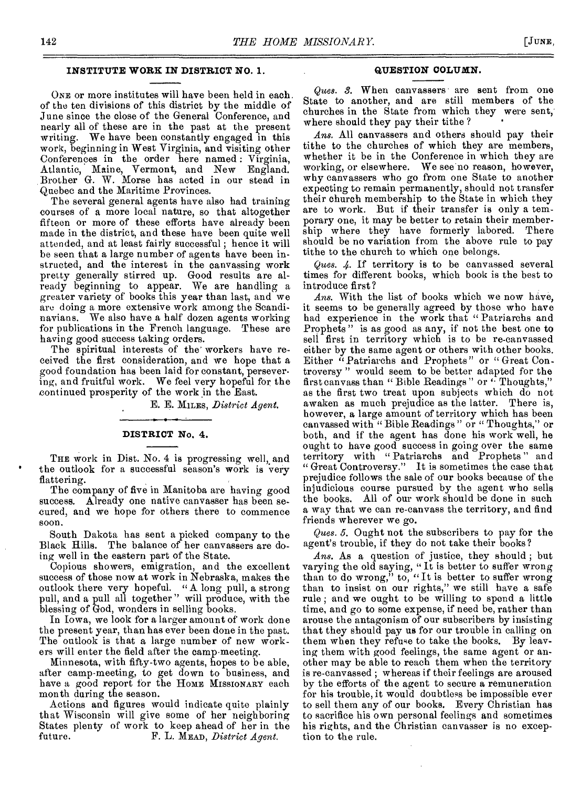### **INSTITUTE WORK IN DISTRICT NO. 1.**

ONE or more institutes will have been held in each. of the ten divisions of this district by the middle of June since the close of the General Conference, and nearly all of these are in the past at the present writing. We have been constantly engaged in this work, beginning in West Virginia, and visiting other Conferences in the order here named : Virginia, Atlantic, Maine, Vermont, and New England. Brother G. W. Morse has acted in our stead in Quebec and the Maritime Provinces.

The several general agents have also had training courses of a more local nature, so that altogether fifteen or more of these efforts have already been made in the district, and these have been quite well attended, and at least fairly successful ; hence it will be seen that a large number of agents have been instructed, and the interest in the canvassing work pretty generally stirred up. Good results are already beginning to appear. We are handling a greater variety of books this year than last, and we are doing a more extensive work among the Scandinavians. We also have a half dozen agents working for publications in the French language. These are having good success taking orders.

The spiritual interests of the' workers have received the first consideration, and we hope that a good foundation has been laid for constant, persevering, and fruitful work. We feel very hopeful for the continued prosperity of the work in the East.

E. E. MILES, *District Agent.* 

### **DISTRICT No. 4.**

THE work in Dist. No. 4 is progressing well, and the outlook for a successful season's work is very flattering.

The company of five in Manitoba are having good success. Already one native canvasser has been secured, and we hope for others there to commence soon.

South Dakota has sent a picked company to the Black Hills. The balance of her canvassers are doing well in the eastern part of the State.

Copious showers, emigration, and the excellent success of those now at work in Nebraska, makes the outlook there very hopeful. " A long pull, a strong pull, and a pull all together" will produce, with the blessing of God, wonders in selling books.

In Iowa, we look for a larger amount of work done the present year, than has ever been done in the past. The outlook is that a large number of new workers will enter the field after the camp-meeting.

Minnesota, with fifty-two agents, hopes to be able, after camp-meeting, to get down to business, and have a good report for the Home MISSIONARY each month during the season.

Actions and figures would indicate quite plainly that Wisconsin will give some of her neighboring States plenty of work to keep ahead of her in the future.<br>F. L. MEAD, District Agent. future. F. L. MEAD, *District Agent.* 

### **QUESTION COLUMN.**

*Ques. 3.* When canvassers are sent from one State to another, and are still members of the churches in the State from which they were sent, where should they pay their tithe ?

*Ans.* All canvassers and others should pay their tithe to the churches of which they are members, whether it be in the Conference in which they are working, or elsewhere. We see'no reason, however, why canvassers who go from one State to another expecting to remain permanently, should not transfer their church membership to the State in which they are to work. But if their transfer is only a temporary one, it may be better to retain their membership where they have formerly labored. There should be no variation from the above rule to pay tithe to the church to which one belongs.

*Ques. 4. If* territory is to be canvassed several times for different books, which book is the best to introduce first ?

*Ans.* With the list of books which we now have, it seems to be generally agreed by those who have had experience in the work that "Patriarchs and Prophets" is as good as any, if not the best one to sell first in territory which is to be re-canvassed either by the same agent or others with other books. Either "Patriarchs and Prophets" or "Great Controversy " would seem to be better adapted for the first canvass than "Bible Readings " or " Thoughts," as the first two treat upon subjects which do not awaken as much prejudice as the latter. There is, however, a large amount of territory which has been canvassed with " Bible Readings " or " Thoughts," or both, and if the agent has done his work well, he ought to have good success in going over the same territory with "Patriarchs and Prophets" and " Great Controversy." It is sometimes the case that prejudice follows the sale of our books because of the injudicious course pursued by the agent who sells the books. All of our work should be done in such a way that we can re-canvass the territory, and find friends wherever we go.

*Ques.* 5. Ought not the subscribers to pay for the agent's trouble, if they do not take their books?

*Ans.* As a question of justice, they should ; but varying the old saying, " It is better to suffer wrong than to do wrong," to, "It is better to suffer wrong than to insist on our rights," we still have a safe rule ; and we ought to be willing to spend a little time, and go to some expense, if need be, rather than arouse the antagonism of our subscribers by insisting that they should pay us for our trouble in calling on them when they refuse to take the books. By leaving them with good feelings, the same agent or another may be able to reach them when the territory is re-canvassed ; whereas if their feelings are aroused by the efforts of the agent to secure a remuneration for his trouble, it would doubtless be impossible ever to sell them any of our books. Every Christian has to sacrifice his own personal feelings and sometimes his rights, and the Christian canvasser is no exception to the rule.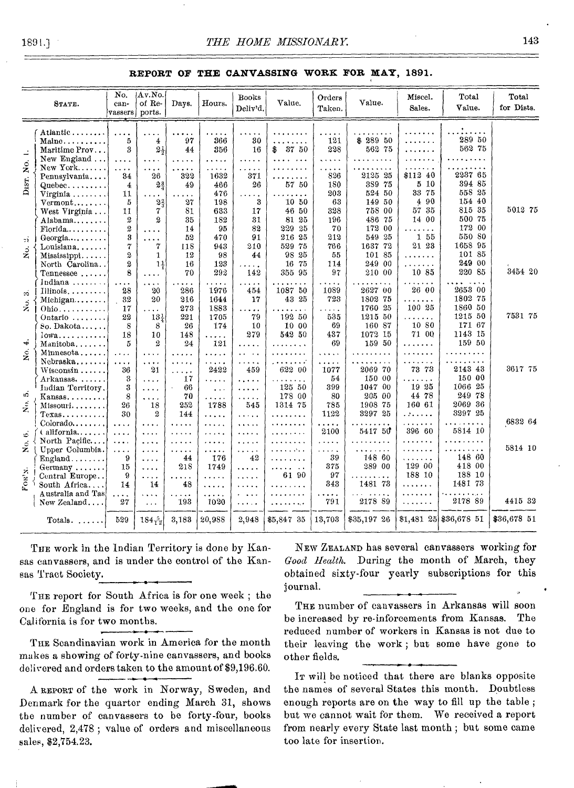### **REPORT OF THE CANVASSING WORK FOR MAY, 1891.**

|                                           | STATE.                                                                                     | No.<br>can-<br>vassers ports.                                      | Av.No.<br>of Re-                                                    | Days.                                              | Hours.                                          | <b>Books</b><br>Deliv'd.                                         | Value.                                                  | Orders<br>Taken.                                                    | Value.                                                      | Miscel.<br>Sales.                                         | Total<br>Value.                                            | Total<br>for Dists. |
|-------------------------------------------|--------------------------------------------------------------------------------------------|--------------------------------------------------------------------|---------------------------------------------------------------------|----------------------------------------------------|-------------------------------------------------|------------------------------------------------------------------|---------------------------------------------------------|---------------------------------------------------------------------|-------------------------------------------------------------|-----------------------------------------------------------|------------------------------------------------------------|---------------------|
| ≓                                         | Atlantic<br>$\mathrm{Mainc}\dots\dots\dots$<br>Maritime Prov<br>New England                | $\cdots$<br>5<br>3<br>$\cdots$                                     | 4<br>$2\frac{1}{2}$<br>$\cdots$                                     | 97<br>44<br>$\ddotsc$                              | .<br>366<br>356<br>.                            | 30<br>16<br>.                                                    | $\cdots$<br>.<br>37 50<br>\$<br>$\cdots$                | .<br>121<br>228<br>.                                                | \$28950<br>562 75<br>.                                      | .<br>.<br>.                                               | $\cdots$<br>289 50<br>562 75<br>.                          |                     |
| 2.<br>DIST.                               | New York<br>Pennsylvania<br>$Queue$ bec<br>Virginia<br>$Vermont$<br>West Virginia          | $\cdots$<br>34<br>4<br>11<br>5<br>11                               | $\cdots$<br>26<br>$2\frac{3}{4}$<br>$\sim$<br>2 <sub>3</sub><br>7   | $\cdots$<br>322<br>49<br>$\sim$ $\sim$<br>27<br>81 | .<br>1632<br>466<br>476<br>198<br>633           | $\sim$ .<br>371<br>26<br>$\cdots$<br>3<br>17                     | .<br>.<br>57 50<br>.<br>10 50<br>46 50                  | $\ddotsc$<br>$\ddot{\phantom{0}}$<br>826<br>180<br>203<br>63<br>328 | $\cdots$<br>2125 25<br>389 75<br>524 50<br>149 50<br>758 00 | $\cdots$<br>\$112 40<br>5 10<br>33 75<br>4<br>90<br>57 35 | 1.1.1.1<br>2237 65<br>394 85<br>558 25<br>154 40<br>815 35 | 5012 75             |
| 2ì<br>Χo.                                 | Alabama<br>Florida<br>Georgia<br>Louisiana<br>Mississippi                                  | $\boldsymbol{2}$<br>$\boldsymbol{2}$<br>3<br>7<br>$\boldsymbol{2}$ | $\boldsymbol{2}$<br>.<br>.<br>7<br>$\mathbf{1}$                     | 35<br>14<br>52<br>118<br>12                        | 182<br>95<br>470<br>943<br>98                   | 31<br>82<br>91<br>210<br>44                                      | 81 25<br>229 25<br>216 25<br>529 75<br>98 25            | 196<br>70<br>212<br>766<br>55                                       | 486 75<br>172 00<br>549 25<br>1637 72<br>101 85             | 14 00<br>155<br>21 23<br>$\ddot{\phantom{1}}$ .           | 500 75<br>172 00<br>550 80<br>1658 95<br>101 85            |                     |
| $\dot{\infty}$                            | North Carolina<br>Tennessee<br>Indiana $\ldots \ldots$<br>$\text{Illinois} \ldots \ldots$  | $\boldsymbol{2}$<br>8<br>$\cdots$<br>28                            | 11<br>.<br>.<br>20                                                  | 16<br>70<br>$\cdots$<br>286                        | 123<br>292<br>$\cdots$<br>1976                  | $\cdots$<br>142<br>.<br>454                                      | 16 75<br>355 95<br>1087 50                              | 114<br>97<br>$\alpha$ , $\alpha$ ,<br>1089                          | 249 00<br>210 00<br>2627 00                                 | .<br>10 85<br>26 00                                       | 249 00<br>220 85<br>2653 00                                | 3454 20             |
| $\frac{3}{2}$                             | $\text{Michigan}\ldots\ldots$<br>$Ohio \ldots$<br>Ontario<br>So. Dakota                    | 32<br>17<br>22<br>8                                                | 20<br>$\sim 100$<br>$13\frac{1}{x}$<br>8                            | 216<br>273<br>221<br>26                            | 1644<br>1883<br>1705<br>174                     | 17<br>$\cdots$<br>79<br>10                                       | 43 25<br>192 50<br>10 00                                | 723<br>.<br>535<br>69                                               | 1802 75<br>1760 25<br>1215 50<br>160 87                     | .<br>$\ddotsc$<br>100 25<br>.<br>10 80                    | 1802 75<br>1860 50<br>1215 50<br>171 67                    | 7531 75             |
| ÷<br>$\dot{z}$                            | lowa<br>Manitoba<br>Minnesota<br>Nebraska                                                  | 18<br>5<br>$\cdots$<br>$\cdots$                                    | 10<br>$\boldsymbol{2}$<br>.<br>.                                    | 148<br>24<br>.<br>$\cdots$                         | .<br>121<br>.<br>.                              | 279<br>$\cdots$<br>$\cdots$<br>$\ddot{\phantom{a}}$<br>.         | 542 50<br>.<br>$\ddotsc$<br>$\ddotsc$<br>.              | 437<br>69<br>.<br>.                                                 | 1072 15<br>159 50<br>. <i>.</i> .<br>.                      | 71 00<br>.<br>$\cdots$<br>$\alpha$ , $\alpha$ , $\alpha$  | 1143 15<br>159 50<br>.<br>.<br>2143 43                     | 3617 75             |
| ۰ó<br>$\hat{\mathbf{z}}$                  | $W$ isconsin<br>Arkansas.<br>Indian Territory.<br>Kanas.<br>Missouri                       | 36<br>3<br>3<br>8<br>26                                            | 21<br>.<br>.<br>.<br>18                                             | $\cdots$<br>17<br>66<br>70<br>252                  | 2422<br>.<br>$\cdots$<br>.<br>1788              | 459<br>$\cdots$<br>.<br>$\cdots$<br>545                          | 622 00<br>.<br>$\ddotsc$<br>125 50<br>178 00<br>1314 75 | 1077<br>54<br>399<br>80<br>785                                      | 2069 70<br>150 00<br>1047 00<br>205 00<br>1908 75           | 73 73<br>.<br>19 25<br>44 78<br>160 61                    | 150 00<br>1066 25<br>249 78<br>2069 36                     |                     |
| ತ                                         | $T$ exas<br>Colorado<br>(alifornia                                                         | 30<br>$\ldots$ .<br>$\cdots$                                       | $\boldsymbol{2}$<br>$\cdots$<br>$\cdots$                            | 144<br>.<br>.                                      | .<br>.<br>.                                     | .<br>.<br>$\cdots$                                               | .<br>.<br>.                                             | 1122<br>.<br>2100                                                   | 3297 25<br>$\sim$ $\sim$ $\sim$<br>5417 50<br>.             | .<br>بالمعاملة<br>396 60<br>.                             | 3297 25<br>.<br>5814 10<br>.                               | 6832 64             |
| Σó.<br>$\mathbf{For}^{\prime}\mathbf{x}.$ | North Pacific<br>Upper Columbia.<br>$England$<br>Germany<br>Central Europe<br>South Africa | $\cdots$<br>$\alpha$ is a $\alpha$<br>9<br>15<br>9<br>14           | $\cdots$<br>.<br>$\cdots$<br>$\cdots$<br>$\sim$ $\sim$ $\sim$<br>14 | .<br>.<br>44<br>218<br>.<br>48                     | $\ldots$ .<br>.<br>176<br>1749<br>.<br>$\ldots$ | .<br>$\mathbf{r}$ is a set of<br>42<br>.<br>$\cdots$<br>$\cdots$ | .<br>. <i>.</i><br>.<br>$\sim$<br>.<br>61 90<br>.       | .<br>.<br>39<br>375<br>97<br>343                                    | .<br>148 60<br>289 00<br>$\cdots$<br>1481 73                | .<br>.<br>129 00<br>188 10<br>.                           | .<br>148 60<br>418 00<br>188 10<br>1481 73                 | 5814 10             |
|                                           | Australia and Tas<br>New Zealand                                                           | .<br>27                                                            | $\cdots$<br>$\sim$ $\sim$ $\sim$                                    | .<br>193                                           | .<br>1020                                       | $\ddotsc$<br>$\sim$ $\sim$ $\sim$ $\sim$ $\sim$                  | $\cdots$<br>ميدمند والمناقبة                            | .<br>791                                                            | $\ddotsc$<br>2178 89                                        | .<br>.                                                    | 2178 89                                                    | 4415 32             |
|                                           | Totals. $\ldots$ .                                                                         | 529                                                                | $184\frac{5}{12}$                                                   | 3,183                                              | 20,988                                          | 2,948                                                            | \$5,847 35                                              | 13,703                                                              | \$35,197 26                                                 |                                                           | $$1,481$ 25 \$36,678 51                                    | \$36,678 51         |

THE work in the Indian Territory is done by Kansas canvassers, and is under the control of the Kansas Tract Society.

THE report for South Africa is for one week; the one for England is for two weeks, and the one for California is for two months.

THE Scandinavian work in America for the month makes a showing of forty-nine canvassers, and books delivered and orders taken to the amount of \$9,196.60.

A REPORT of the work in Norway, Sweden, and Denmark for the quarter ending March 31, shows the number of canvassers to be forty-four, books delivered, 2,478 ; value of orders and miscellaneous sales, \$2,754.23.

NEW ZEALAND has several canvassers working for *Good Health.* During the month of March, they obtained sixty-four yearly subscriptions for this journal.

THE number of canvassers in Arkansas will soon be increased by re-inforcements from Kansas. The reduced number of workers in Kansas is not due to their leaving the work ; but some have gone to other fields.

Ir will be noticed that there are blanks opposite the names of several States this month. Doubtless enough reports are on the way to fill up the table ; but we cannot wait for them. We received a report from nearly every State last month ; but some came too late for insertion.